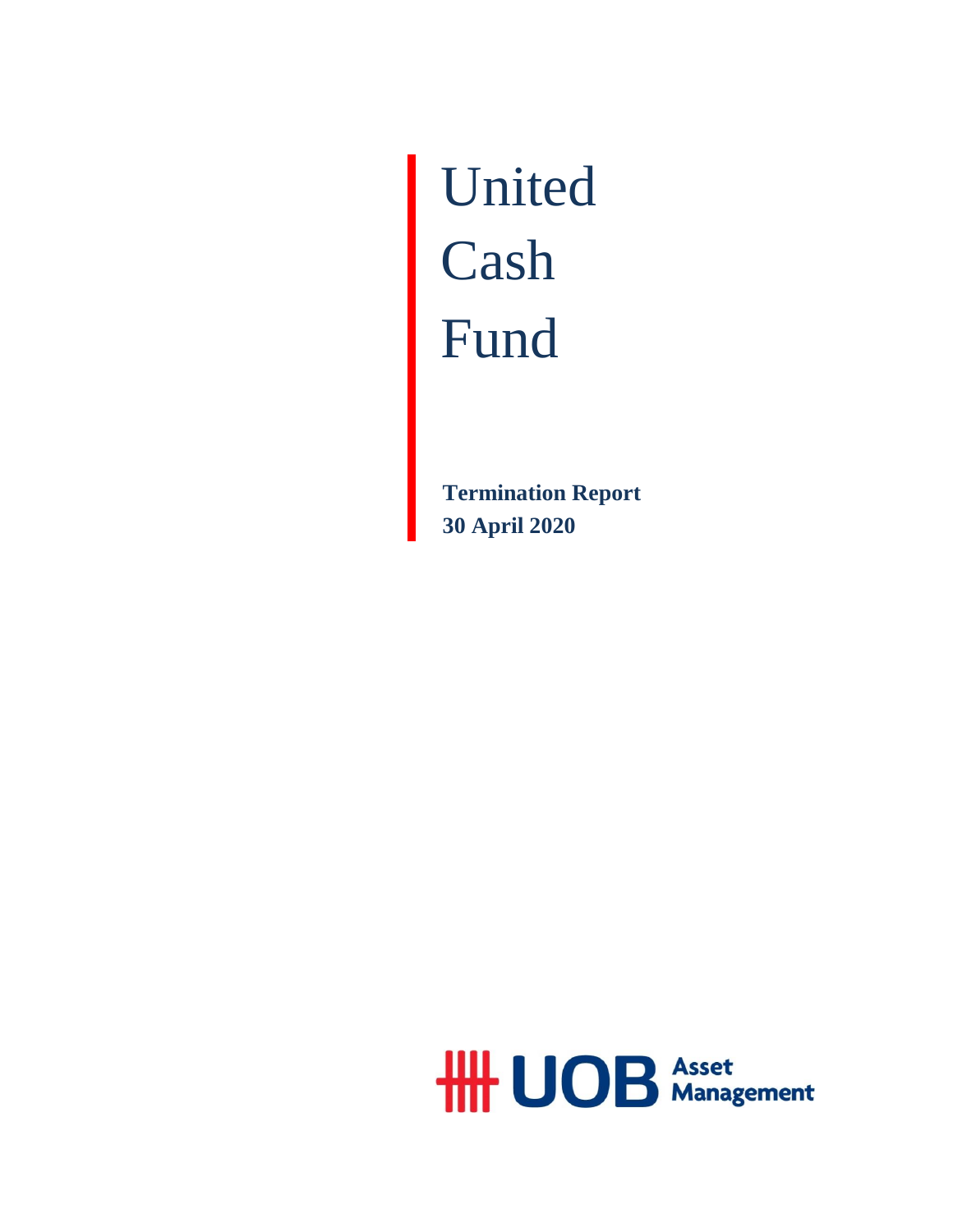United Cash Fund

 **Termination Report 30 April 2020**

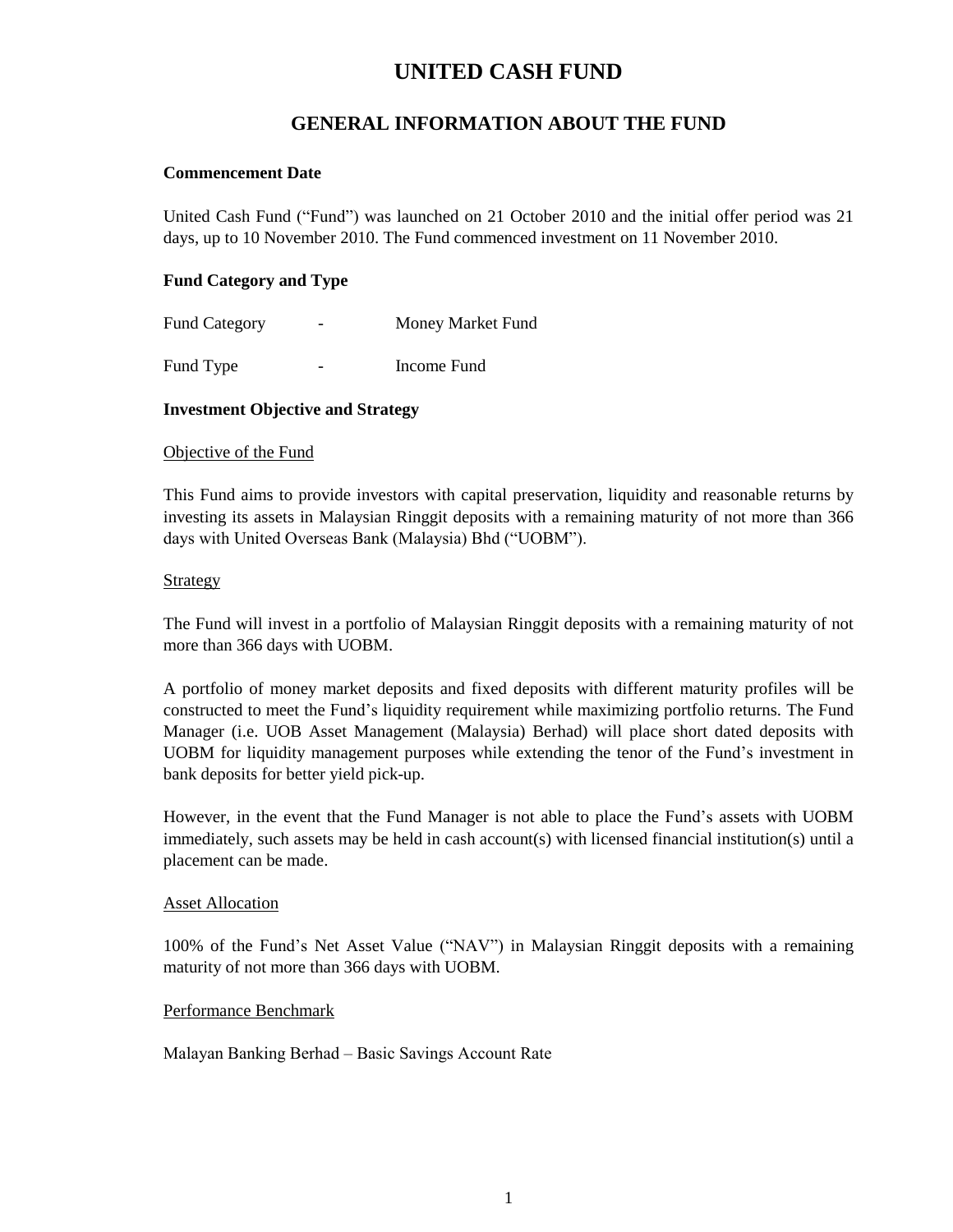# **GENERAL INFORMATION ABOUT THE FUND**

## **Commencement Date**

United Cash Fund ("Fund") was launched on 21 October 2010 and the initial offer period was 21 days, up to 10 November 2010. The Fund commenced investment on 11 November 2010.

## **Fund Category and Type**

Fund Category - Money Market Fund

Fund Type **-** Income Fund

## **Investment Objective and Strategy**

## Objective of the Fund

This Fund aims to provide investors with capital preservation, liquidity and reasonable returns by investing its assets in Malaysian Ringgit deposits with a remaining maturity of not more than 366 days with United Overseas Bank (Malaysia) Bhd ("UOBM").

## Strategy

The Fund will invest in a portfolio of Malaysian Ringgit deposits with a remaining maturity of not more than 366 days with UOBM.

A portfolio of money market deposits and fixed deposits with different maturity profiles will be constructed to meet the Fund's liquidity requirement while maximizing portfolio returns. The Fund Manager (i.e. UOB Asset Management (Malaysia) Berhad) will place short dated deposits with UOBM for liquidity management purposes while extending the tenor of the Fund's investment in bank deposits for better yield pick-up.

However, in the event that the Fund Manager is not able to place the Fund's assets with UOBM immediately, such assets may be held in cash account(s) with licensed financial institution(s) until a placement can be made.

## Asset Allocation

100% of the Fund's Net Asset Value ("NAV") in Malaysian Ringgit deposits with a remaining maturity of not more than 366 days with UOBM.

## Performance Benchmark

Malayan Banking Berhad – Basic Savings Account Rate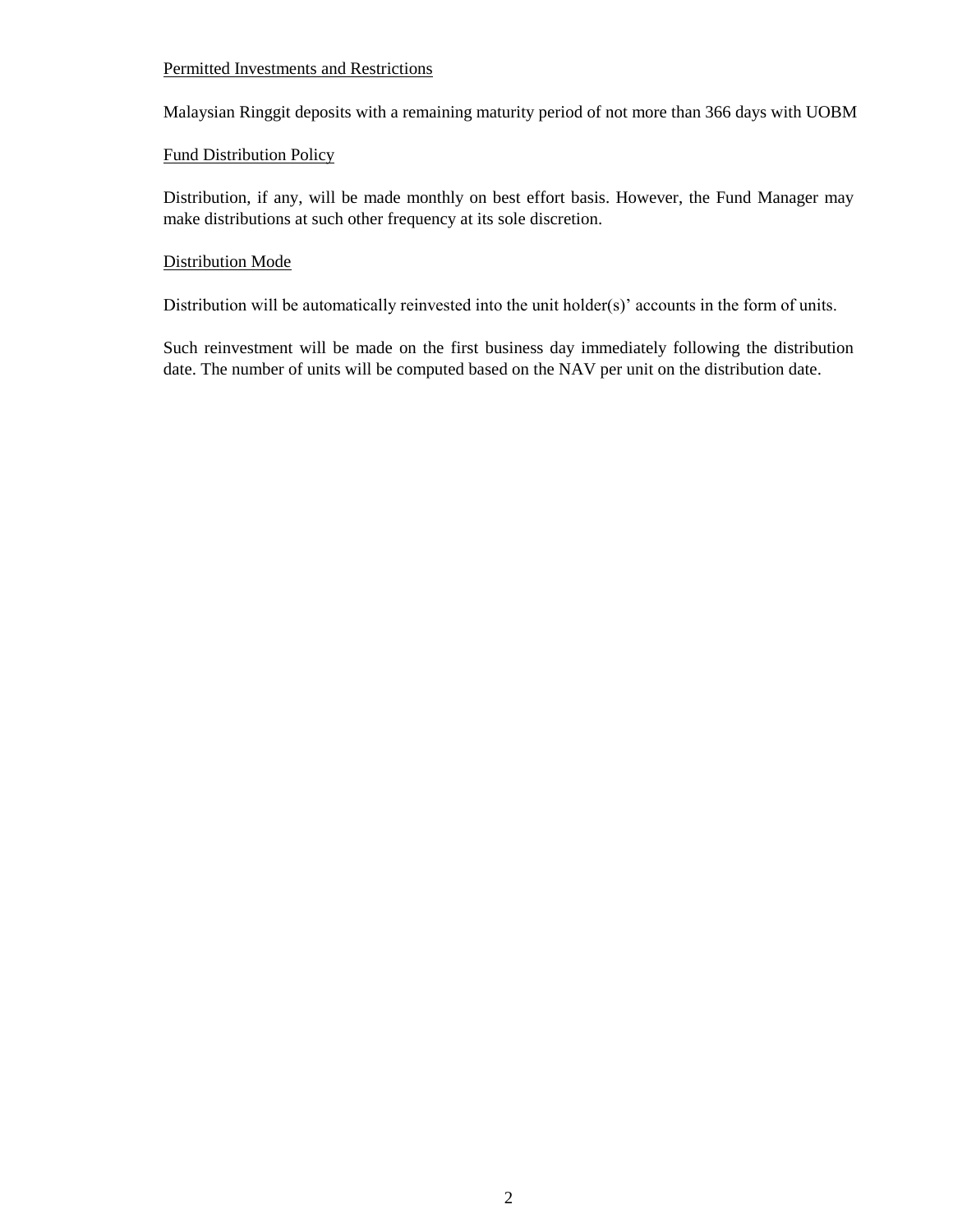## Permitted Investments and Restrictions

Malaysian Ringgit deposits with a remaining maturity period of not more than 366 days with UOBM.

## Fund Distribution Policy

Distribution, if any, will be made monthly on best effort basis. However, the Fund Manager may make distributions at such other frequency at its sole discretion.

## Distribution Mode

Distribution will be automatically reinvested into the unit holder(s)' accounts in the form of units.

Such reinvestment will be made on the first business day immediately following the distribution date. The number of units will be computed based on the NAV per unit on the distribution date.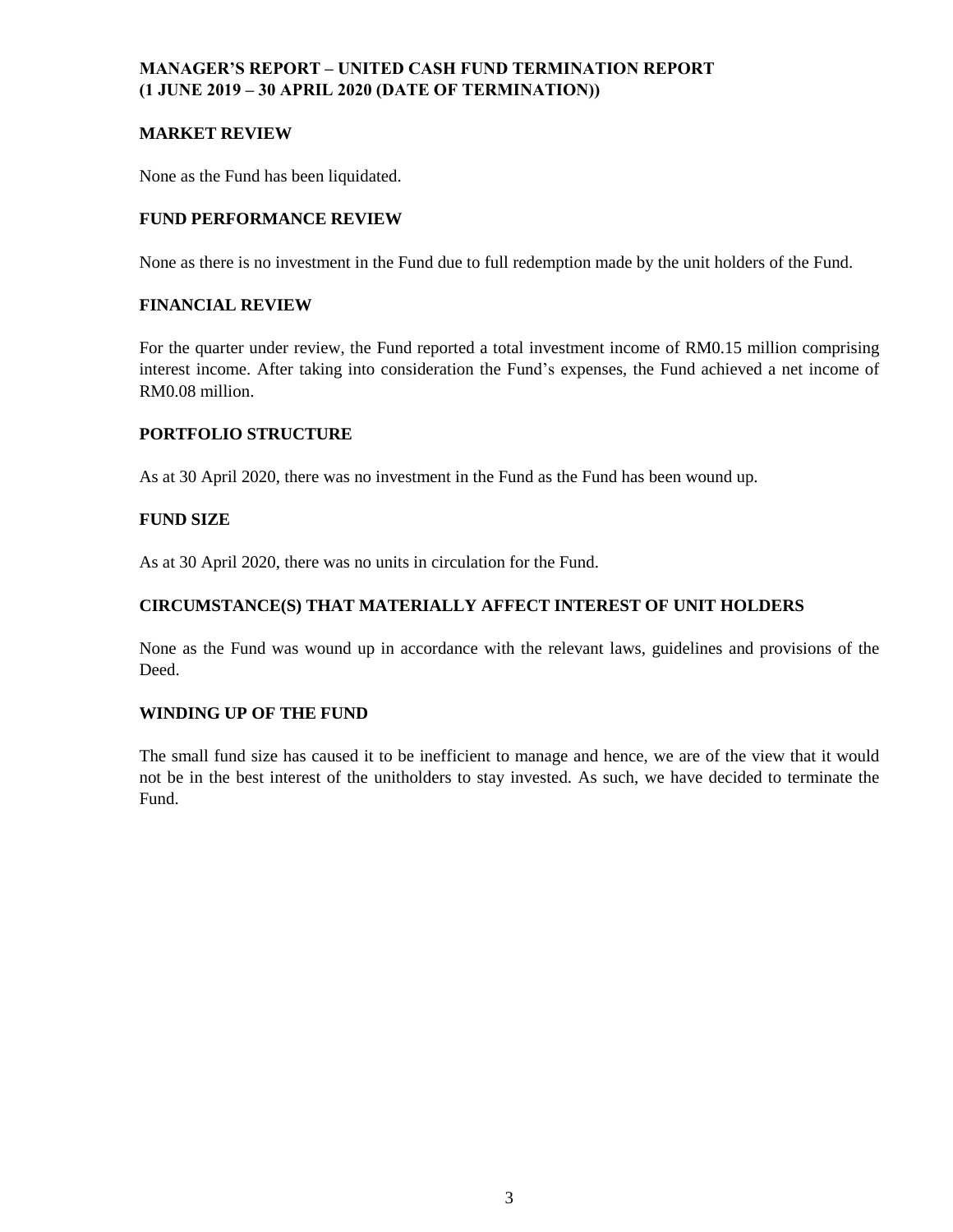## **MANAGER'S REPORT – UNITED CASH FUND TERMINATION REPORT (1 JUNE 2019 – 30 APRIL 2020 (DATE OF TERMINATION))**

### **MARKET REVIEW**

None as the Fund has been liquidated.

## **FUND PERFORMANCE REVIEW**

None as there is no investment in the Fund due to full redemption made by the unit holders of the Fund.

### **FINANCIAL REVIEW**

For the quarter under review, the Fund reported a total investment income of RM0.15 million comprising interest income. After taking into consideration the Fund's expenses, the Fund achieved a net income of RM0.08 million.

### **PORTFOLIO STRUCTURE**

As at 30 April 2020, there was no investment in the Fund as the Fund has been wound up.

## **FUND SIZE**

As at 30 April 2020, there was no units in circulation for the Fund.

## **CIRCUMSTANCE(S) THAT MATERIALLY AFFECT INTEREST OF UNIT HOLDERS**

None as the Fund was wound up in accordance with the relevant laws, guidelines and provisions of the Deed.

#### **WINDING UP OF THE FUND**

The small fund size has caused it to be inefficient to manage and hence, we are of the view that it would not be in the best interest of the unitholders to stay invested. As such, we have decided to terminate the Fund.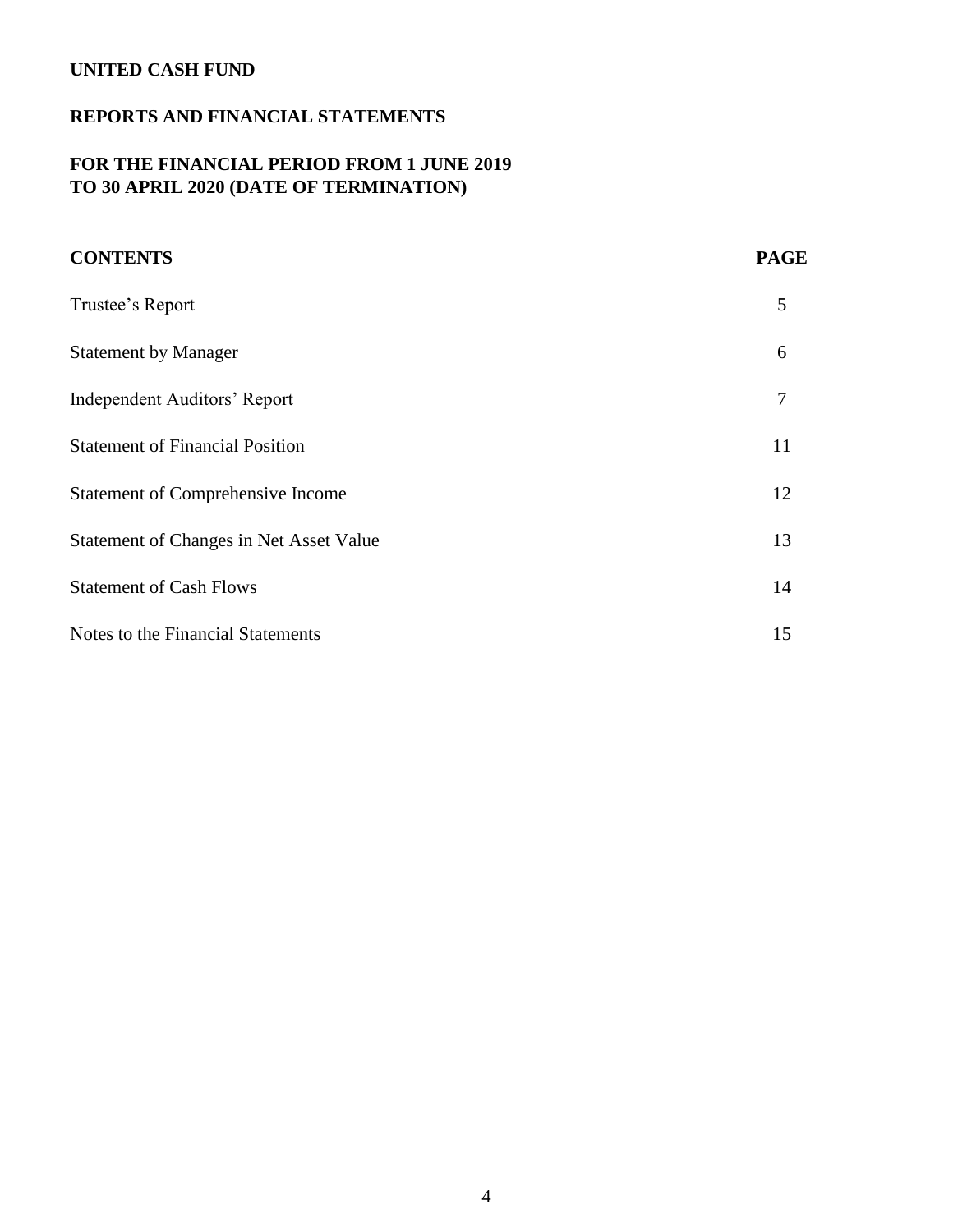# **REPORTS AND FINANCIAL STATEMENTS**

## **FOR THE FINANCIAL PERIOD FROM 1 JUNE 2019 TO 30 APRIL 2020 (DATE OF TERMINATION)**

| <b>CONTENTS</b>                                | <b>PAGE</b> |
|------------------------------------------------|-------------|
| Trustee's Report                               | 5           |
| <b>Statement by Manager</b>                    | 6           |
| Independent Auditors' Report                   | 7           |
| <b>Statement of Financial Position</b>         | 11          |
| <b>Statement of Comprehensive Income</b>       | 12          |
| <b>Statement of Changes in Net Asset Value</b> | 13          |
| <b>Statement of Cash Flows</b>                 | 14          |
| Notes to the Financial Statements              | 15          |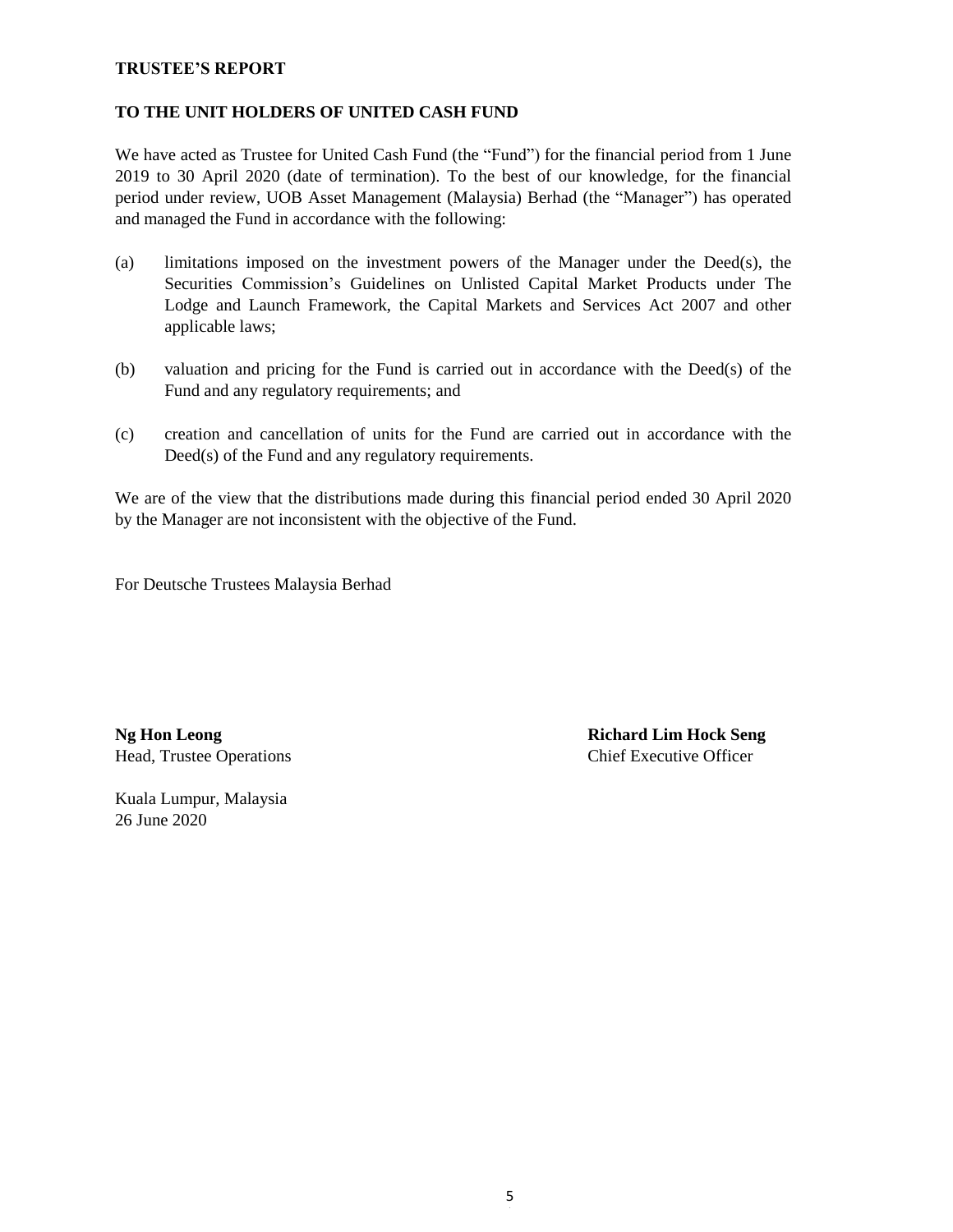#### **TRUSTEE'S REPORT**

## **TO THE UNIT HOLDERS OF UNITED CASH FUND**

We have acted as Trustee for United Cash Fund (the "Fund") for the financial period from 1 June 2019 to 30 April 2020 (date of termination). To the best of our knowledge, for the financial period under review, UOB Asset Management (Malaysia) Berhad (the "Manager") has operated and managed the Fund in accordance with the following:

- (a) limitations imposed on the investment powers of the Manager under the Deed(s), the Securities Commission's Guidelines on Unlisted Capital Market Products under The Lodge and Launch Framework, the Capital Markets and Services Act 2007 and other applicable laws;
- (b) valuation and pricing for the Fund is carried out in accordance with the Deed(s) of the Fund and any regulatory requirements; and
- (c) creation and cancellation of units for the Fund are carried out in accordance with the Deed(s) of the Fund and any regulatory requirements.

We are of the view that the distributions made during this financial period ended 30 April 2020 by the Manager are not inconsistent with the objective of the Fund.

For Deutsche Trustees Malaysia Berhad

Head, Trustee Operations **Chief Executive Officer** 

**Ng Hon Leong Richard Lim Hock Seng**

Kuala Lumpur, Malaysia 26 June 2020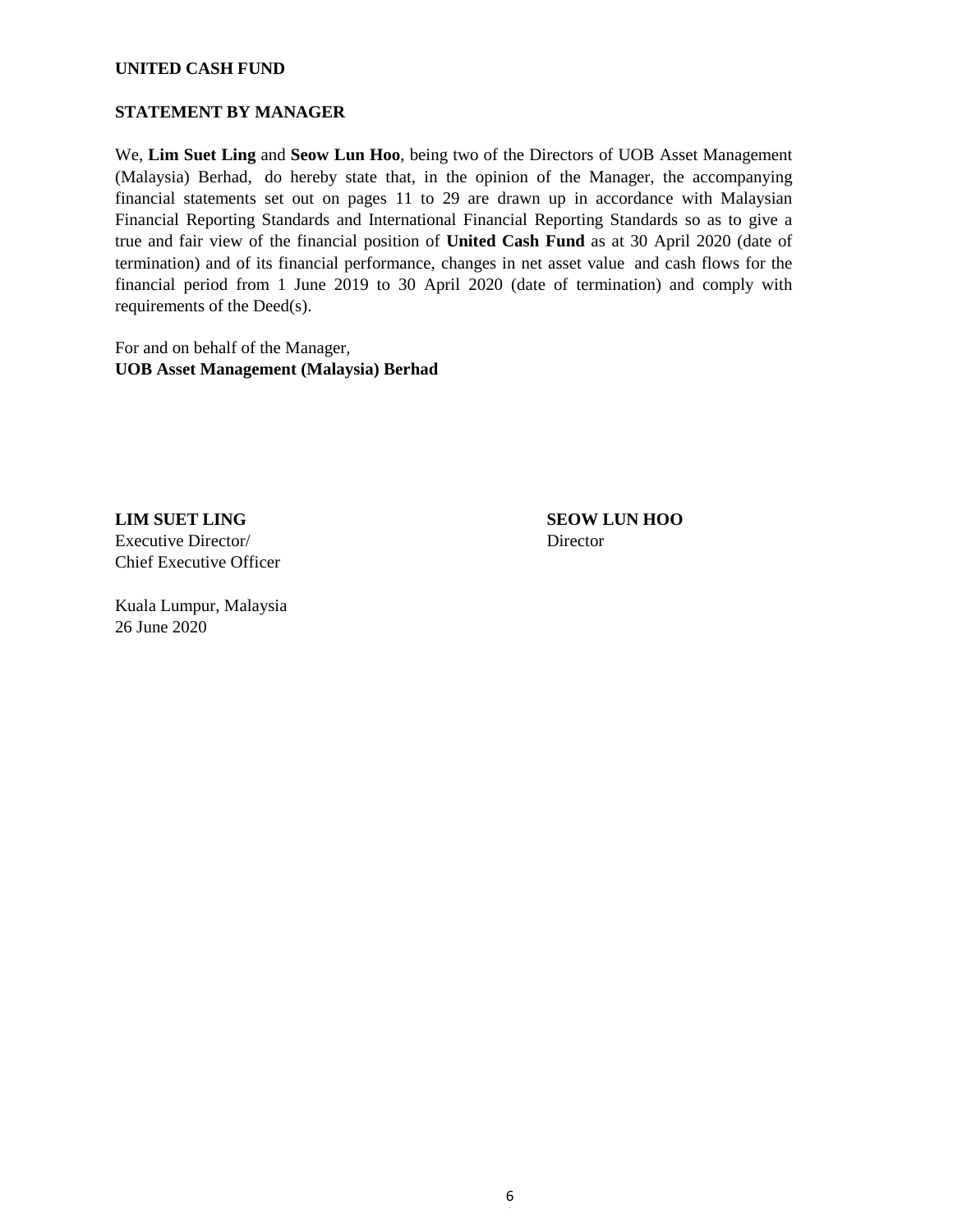## **STATEMENT BY MANAGER**

We, **Lim Suet Ling** and **Seow Lun Hoo**, being two of the Directors of UOB Asset Management (Malaysia) Berhad, do hereby state that, in the opinion of the Manager, the accompanying financial statements set out on pages 11 to 29 are drawn up in accordance with Malaysian Financial Reporting Standards and International Financial Reporting Standards so as to give a true and fair view of the financial position of **United Cash Fund** as at 30 April 2020 (date of termination) and of its financial performance, changes in net asset value and cash flows for the financial period from 1 June 2019 to 30 April 2020 (date of termination) and comply with requirements of the Deed(s).

For and on behalf of the Manager, **UOB Asset Management (Malaysia) Berhad**

**LIM SUET LING SEOW LUN HOO**

Executive Director/ Director Chief Executive Officer

Kuala Lumpur, Malaysia 26 June 2020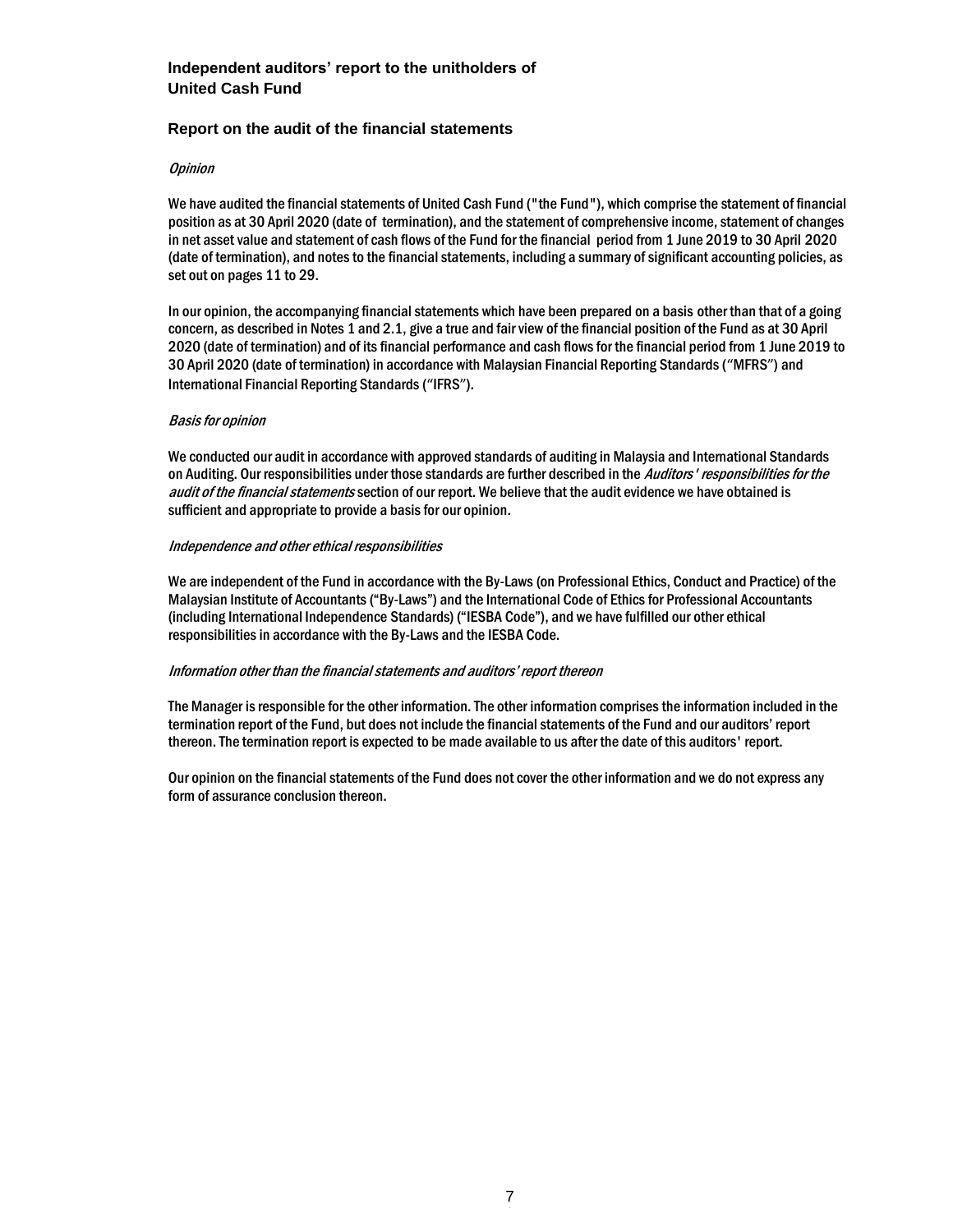## **Independent auditors' report to the unitholders of United Cash Fund**

#### **Report on the audit of the financial statements**

#### **Opinion**

We have audited the financial statements of United Cash Fund ("the Fund"), which comprise the statement of financial position as at 30 April 2020 (date of termination), and the statement of comprehensive income, statement of changes in net asset value and statement of cash flows of the Fund for the financial period from 1 June 2019 to 30 April 2020 (date of termination), and notes to the financial statements, including a summary of significant accounting policies, as set out on pages 11 to 29.

In our opinion, the accompanying financial statements which have been prepared on a basis other than that of a going concern, as described in Notes 1 and 2.1, give a true and fair view of the financial position of the Fund as at 30 April 2020 (date of termination) and of its financial performance and cash flows for the financial period from 1 June 2019 to 30 April 2020 (date of termination) in accordance with Malaysian Financial Reporting Standards ("MFRS") and International Financial Reporting Standards ("IFRS").

#### Basis for opinion

We conducted our audit in accordance with approved standards of auditing in Malaysia and International Standards on Auditing. Our responsibilities under those standards are further described in the Auditors' responsibilities for the audit of the financial statements section of our report. We believe that the audit evidence we have obtained is sufficient and appropriate to provide a basis for our opinion.

#### Independence and other ethical responsibilities

We are independent of the Fund in accordance with the By-Laws (on Professional Ethics, Conduct and Practice) of the Malaysian Institute of Accountants ("By-Laws") and the International Code of Ethics for Professional Accountants (including International Independence Standards) ("IESBA Code"), and we have fulfilled our other ethical responsibilities in accordance with the By-Laws and the IESBA Code.

#### Information other than the financial statements and auditors' report thereon

The Manager is responsible for the other information. The other information comprises the information included in the termination report of the Fund, but does not include the financial statements of the Fund and our auditors' report thereon. The termination report is expected to be made available to us after the date of this auditors' report.

Our opinion on the financial statements of the Fund does not cover the other information and we do not express any form of assurance conclusion thereon.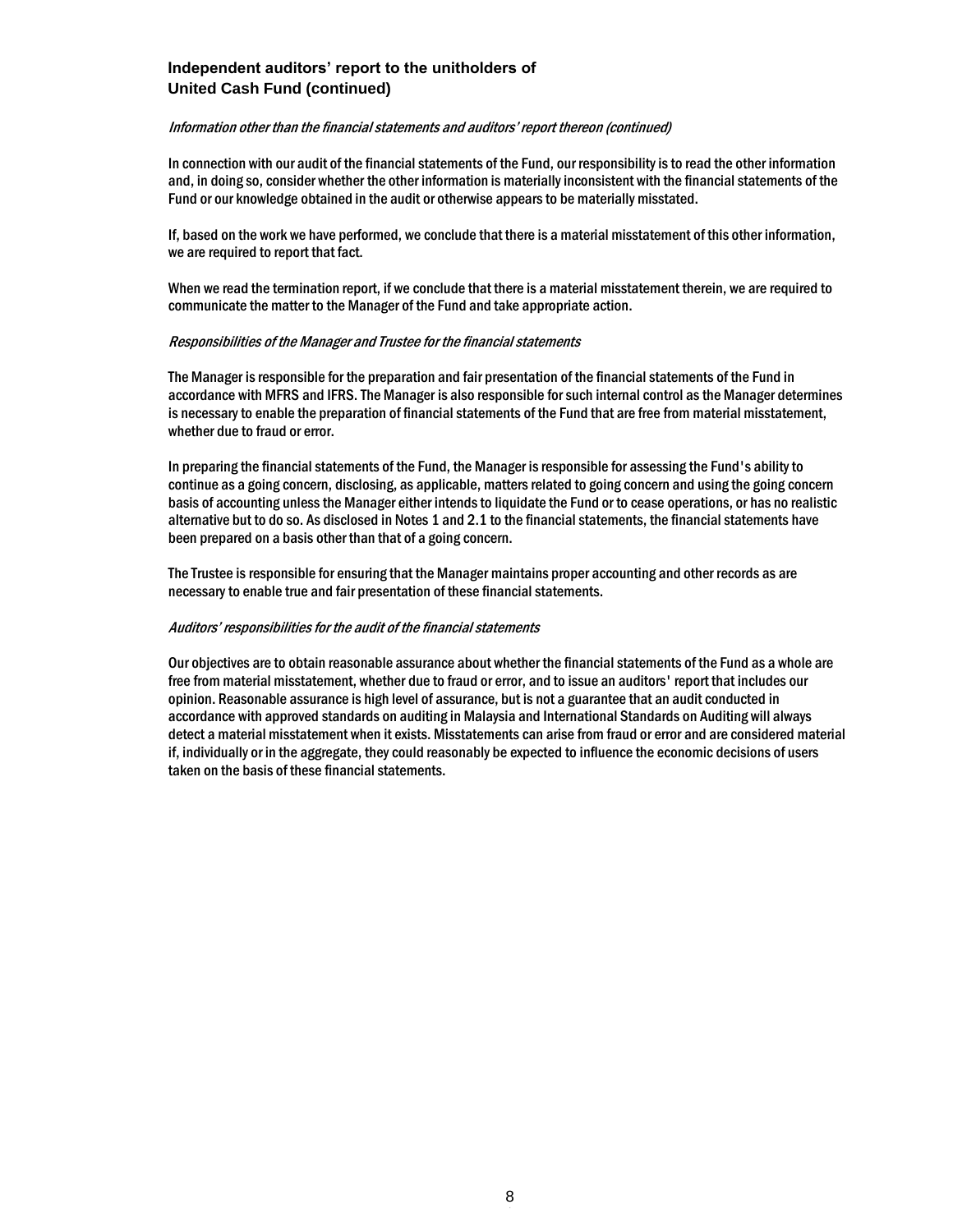## **Independent auditors' report to the unitholders of United Cash Fund (continued)**

#### Information other than the financial statements and auditors' report thereon (continued)

In connection with our audit of the financial statements of the Fund, our responsibility is to read the other information and, in doing so, consider whether the other information is materially inconsistent with the financial statements of the Fund or our knowledge obtained in the audit or otherwise appears to be materially misstated.

If, based on the work we have performed, we conclude that there is a material misstatement of this other information, we are required to report that fact.

When we read the termination report, if we conclude that there is a material misstatement therein, we are required to communicate the matter to the Manager of the Fund and take appropriate action.

#### Responsibilities of the Manager and Trustee for the financial statements

The Manager is responsible for the preparation and fair presentation of the financial statements of the Fund in accordance with MFRS and IFRS. The Manager is also responsible for such internal control as the Manager determines is necessary to enable the preparation of financial statements of the Fund that are free from material misstatement, whether due to fraud or error.

In preparing the financial statements of the Fund, the Manager is responsible for assessing the Fund's ability to continue as a going concern, disclosing, as applicable, matters related to going concern and using the going concern basis of accounting unless the Manager either intends to liquidate the Fund or to cease operations, or has no realistic alternative but to do so. As disclosed in Notes 1 and 2.1 to the financial statements, the financial statements have been prepared on a basis other than that of a going concern.

The Trustee is responsible for ensuring that the Manager maintains proper accounting and other records as are necessary to enable true and fair presentation of these financial statements.

#### Auditors' responsibilities for the audit of the financial statements

Our objectives are to obtain reasonable assurance about whether the financial statements of the Fund as a whole are free from material misstatement, whether due to fraud or error, and to issue an auditors' report that includes our opinion. Reasonable assurance is high level of assurance, but is not a guarantee that an audit conducted in accordance with approved standards on auditing in Malaysia and International Standards on Auditing will always detect a material misstatement when it exists. Misstatements can arise from fraud or error and are considered material if, individually or in the aggregate, they could reasonably be expected to influence the economic decisions of users taken on the basis of these financial statements.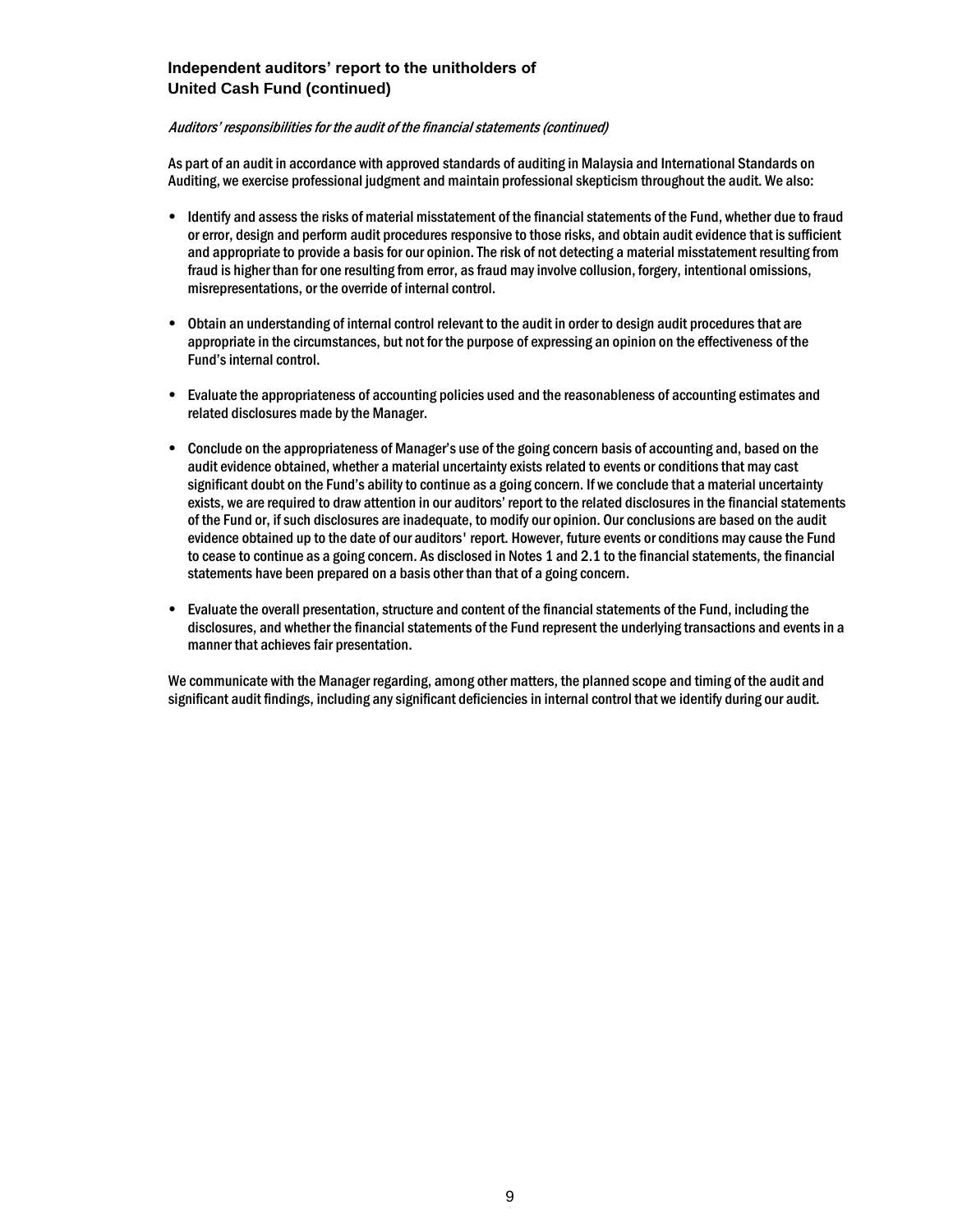## **Independent auditors' report to the unitholders of United Cash Fund (continued)**

#### Auditors' responsibilities for the audit of the financial statements (continued)

As part of an audit in accordance with approved standards of auditing in Malaysia and International Standards on Auditing, we exercise professional judgment and maintain professional skepticism throughout the audit. We also:

- Identify and assess the risks of material misstatement of the financial statements of the Fund, whether due to fraud or error, design and perform audit procedures responsive to those risks, and obtain audit evidence that is sufficient and appropriate to provide a basis for our opinion. The risk of not detecting a material misstatement resulting from fraud is higher than for one resulting from error, as fraud may involve collusion, forgery, intentional omissions, misrepresentations, or the override of internal control.
- Obtain an understanding of internal control relevant to the audit in order to design audit procedures that are appropriate in the circumstances, but not for the purpose of expressing an opinion on the effectiveness of the Fund's internal control.
- Evaluate the appropriateness of accounting policies used and the reasonableness of accounting estimates and related disclosures made by the Manager.
- Conclude on the appropriateness of Manager's use of the going concern basis of accounting and, based on the audit evidence obtained, whether a material uncertainty exists related to events or conditions that may cast significant doubt on the Fund's ability to continue as a going concern. If we conclude that a material uncertainty exists, we are required to draw attention in our auditors' report to the related disclosures in the financial statements of the Fund or, if such disclosures are inadequate, to modify our opinion. Our conclusions are based on the audit evidence obtained up to the date of our auditors' report. However, future events or conditions may cause the Fund to cease to continue as a going concern. As disclosed in Notes 1 and 2.1 to the financial statements, the financial statements have been prepared on a basis other than that of a going concern.
- Evaluate the overall presentation, structure and content of the financial statements of the Fund, including the disclosures, and whether the financial statements of the Fund represent the underlying transactions and events in a manner that achieves fair presentation.

We communicate with the Manager regarding, among other matters, the planned scope and timing of the audit and significant audit findings, including any significant deficiencies in internal control that we identify during our audit.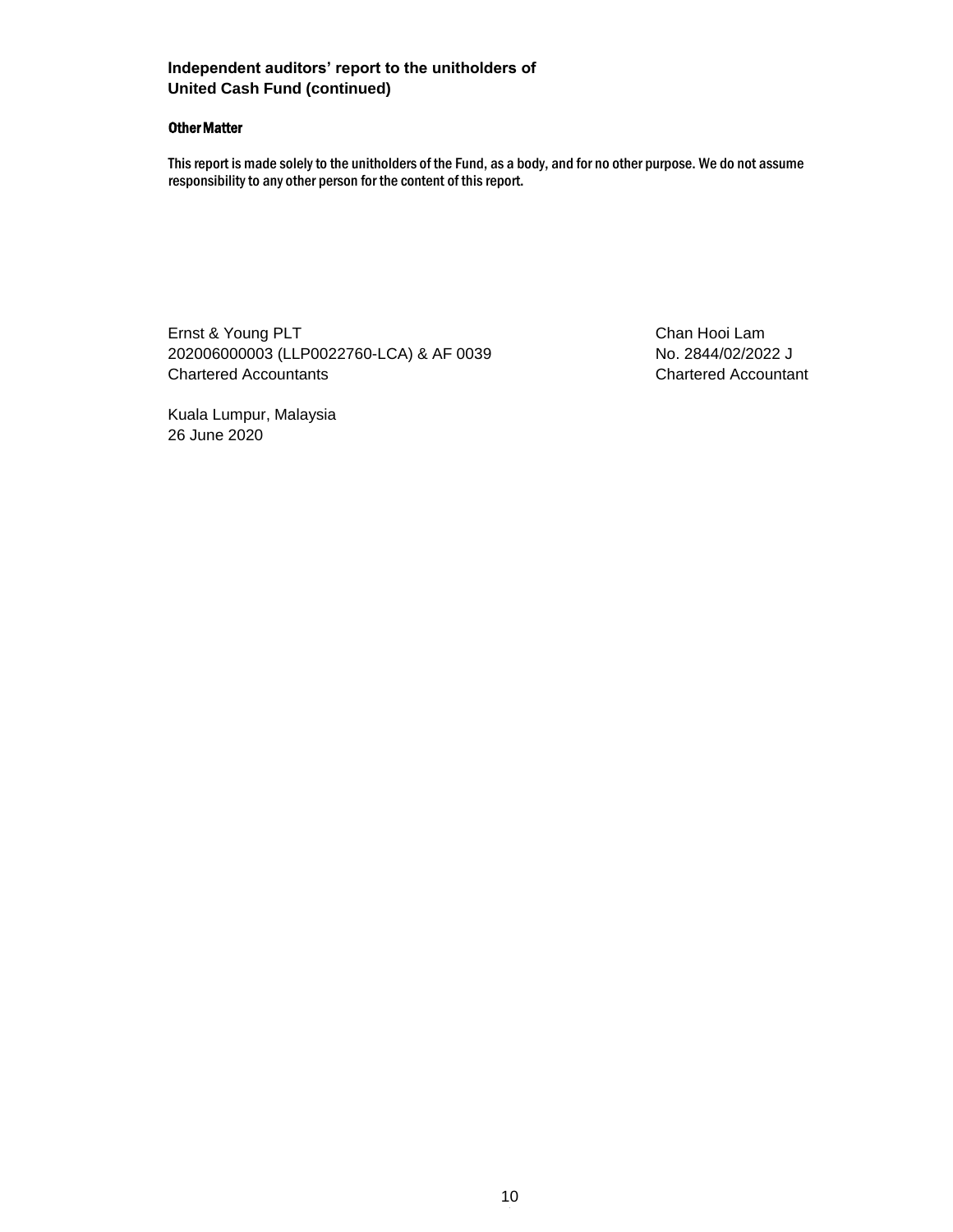## **Independent auditors' report to the unitholders of United Cash Fund (continued)**

## Other Matter

This report is made solely to the unitholders of the Fund, as a body, and for no other purpose. We do not assume responsibility to any other person for the content of this report.

Ernst & Young PLT **Chan Hooi Lam** 202006000003 (LLP0022760-LCA) & AF 0039 No. 2844/02/2022 J Chartered Accountants Chartered Accountant

Kuala Lumpur, Malaysia 26 June 2020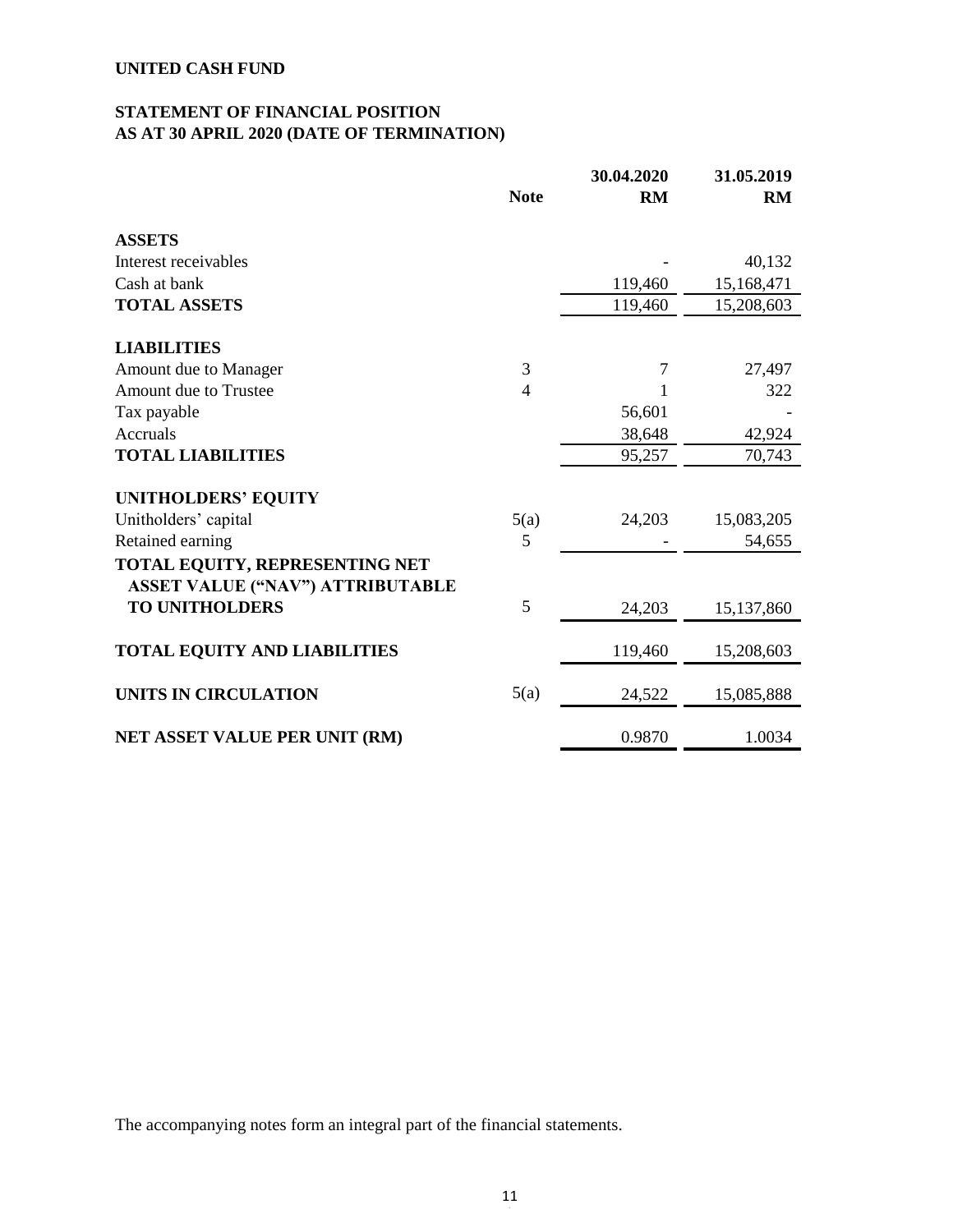# **STATEMENT OF FINANCIAL POSITION AS AT 30 APRIL 2020 (DATE OF TERMINATION)**

|                                                                           |                | 30.04.2020 | 31.05.2019 |
|---------------------------------------------------------------------------|----------------|------------|------------|
|                                                                           | <b>Note</b>    | <b>RM</b>  | RM         |
| <b>ASSETS</b>                                                             |                |            |            |
| Interest receivables                                                      |                |            | 40,132     |
| Cash at bank                                                              |                | 119,460    | 15,168,471 |
| <b>TOTAL ASSETS</b>                                                       |                | 119,460    | 15,208,603 |
| <b>LIABILITIES</b>                                                        |                |            |            |
| Amount due to Manager                                                     | 3              | 7          | 27,497     |
| Amount due to Trustee                                                     | $\overline{4}$ |            | 322        |
| Tax payable                                                               |                | 56,601     |            |
| Accruals                                                                  |                | 38,648     | 42,924     |
| <b>TOTAL LIABILITIES</b>                                                  |                | 95,257     | 70,743     |
| <b>UNITHOLDERS' EQUITY</b>                                                |                |            |            |
| Unitholders' capital                                                      | 5(a)           | 24,203     | 15,083,205 |
| Retained earning                                                          | 5              |            | 54,655     |
| TOTAL EQUITY, REPRESENTING NET<br><b>ASSET VALUE ("NAV") ATTRIBUTABLE</b> |                |            |            |
| <b>TO UNITHOLDERS</b>                                                     | 5              | 24,203     | 15,137,860 |
| <b>TOTAL EQUITY AND LIABILITIES</b>                                       |                | 119,460    | 15,208,603 |
| <b>UNITS IN CIRCULATION</b>                                               | 5(a)           | 24,522     | 15,085,888 |
| NET ASSET VALUE PER UNIT (RM)                                             |                | 0.9870     | 1.0034     |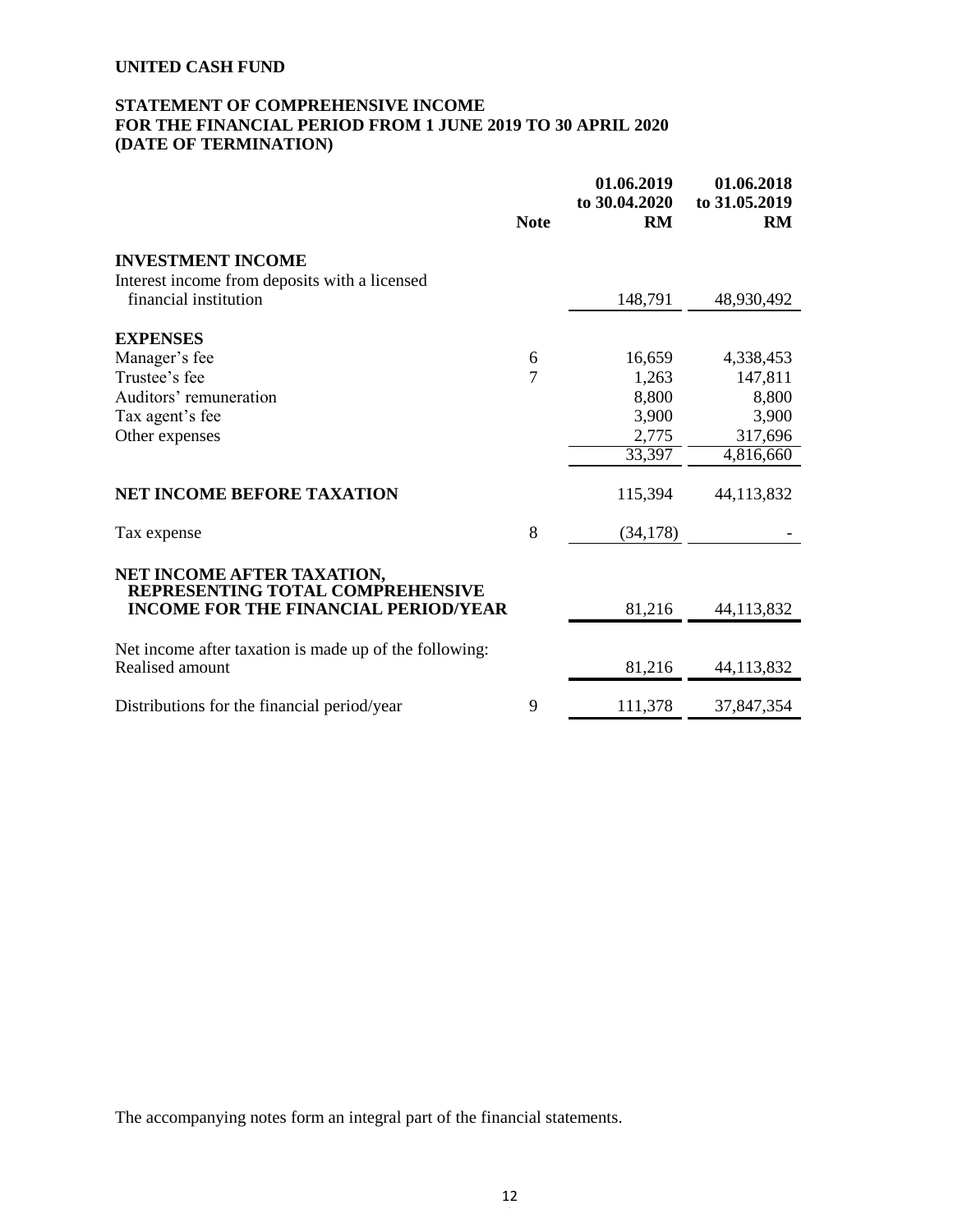## **STATEMENT OF COMPREHENSIVE INCOME FOR THE FINANCIAL PERIOD FROM 1 JUNE 2019 TO 30 APRIL 2020 (DATE OF TERMINATION)**

|                                                                                                               | <b>Note</b>    | 01.06.2019<br>to 30.04.2020<br><b>RM</b> | 01.06.2018<br>to 31.05.2019<br><b>RM</b> |
|---------------------------------------------------------------------------------------------------------------|----------------|------------------------------------------|------------------------------------------|
| <b>INVESTMENT INCOME</b>                                                                                      |                |                                          |                                          |
| Interest income from deposits with a licensed                                                                 |                |                                          |                                          |
| financial institution                                                                                         |                | 148,791                                  | 48,930,492                               |
| <b>EXPENSES</b>                                                                                               |                |                                          |                                          |
| Manager's fee                                                                                                 | 6              | 16,659                                   | 4,338,453                                |
| Trustee's fee                                                                                                 | $\overline{7}$ | 1,263                                    | 147,811                                  |
| Auditors' remuneration                                                                                        |                | 8,800                                    | 8,800                                    |
| Tax agent's fee                                                                                               |                | 3,900                                    | 3,900                                    |
| Other expenses                                                                                                |                | 2,775                                    | 317,696                                  |
|                                                                                                               |                | 33,397                                   | 4,816,660                                |
| <b>NET INCOME BEFORE TAXATION</b>                                                                             |                | 115,394                                  | 44,113,832                               |
| Tax expense                                                                                                   | 8              | (34, 178)                                |                                          |
| NET INCOME AFTER TAXATION,<br>REPRESENTING TOTAL COMPREHENSIVE<br><b>INCOME FOR THE FINANCIAL PERIOD/YEAR</b> |                | 81,216                                   | 44,113,832                               |
| Net income after taxation is made up of the following:<br><b>Realised amount</b>                              |                | 81,216                                   | 44,113,832                               |
| Distributions for the financial period/year                                                                   | 9              | 111,378                                  | 37,847,354                               |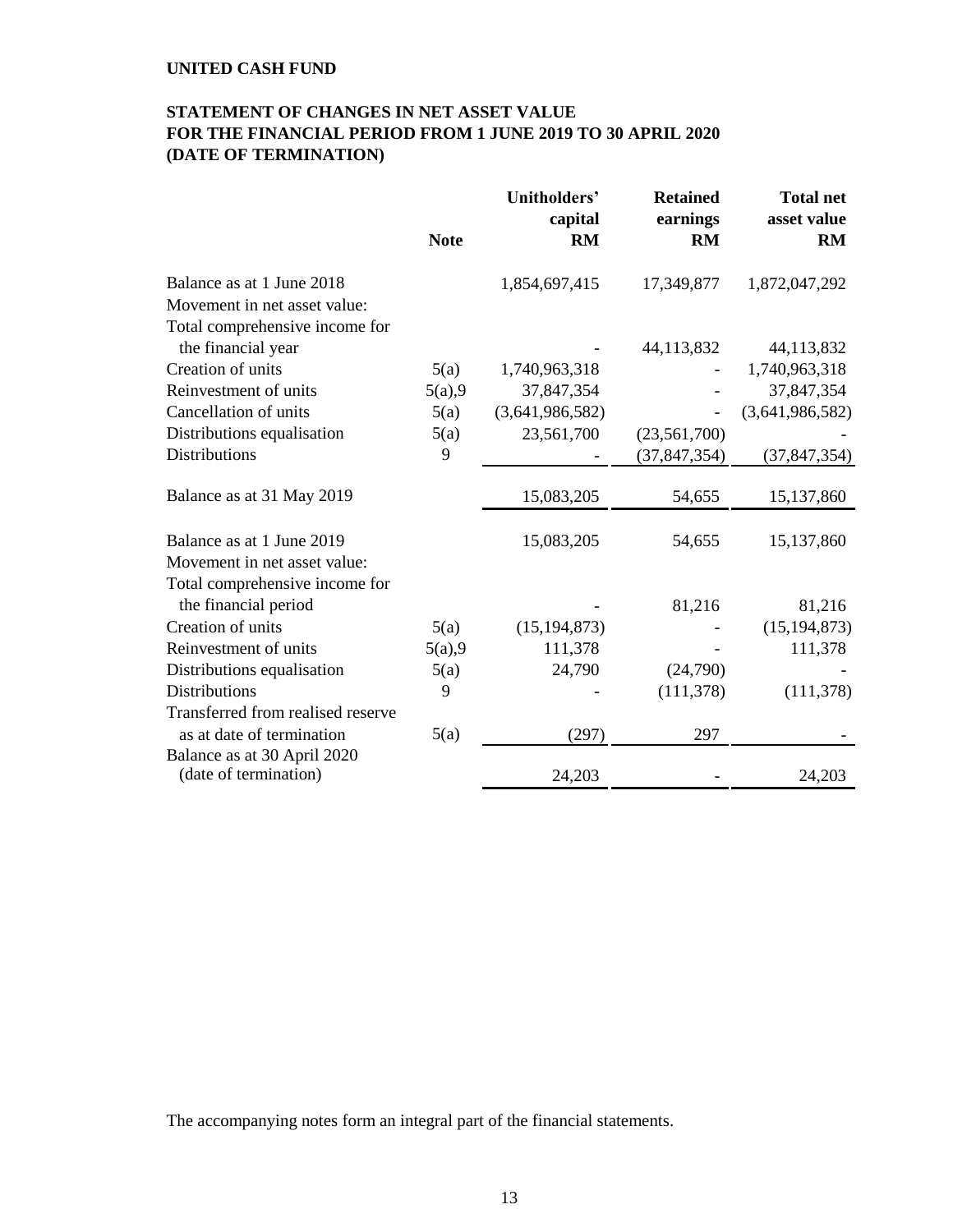## **STATEMENT OF CHANGES IN NET ASSET VALUE FOR THE FINANCIAL PERIOD FROM 1 JUNE 2019 TO 30 APRIL 2020 (DATE OF TERMINATION)**

| <b>Note</b> | <b>Unitholders'</b><br>capital<br><b>RM</b> | <b>Retained</b><br>earnings<br><b>RM</b> | <b>Total net</b><br>asset value<br><b>RM</b> |
|-------------|---------------------------------------------|------------------------------------------|----------------------------------------------|
|             | 1,854,697,415                               | 17,349,877                               | 1,872,047,292                                |
|             |                                             |                                          |                                              |
|             |                                             |                                          |                                              |
|             |                                             | 44,113,832                               | 44,113,832                                   |
| 5(a)        | 1,740,963,318                               |                                          | 1,740,963,318                                |
| $5(a)$ , 9  | 37,847,354                                  |                                          | 37,847,354                                   |
| 5(a)        | (3,641,986,582)                             |                                          | (3,641,986,582)                              |
| 5(a)        | 23,561,700                                  | (23, 561, 700)                           |                                              |
| 9           |                                             | (37, 847, 354)                           | (37, 847, 354)                               |
|             |                                             |                                          | 15,137,860                                   |
|             |                                             |                                          |                                              |
|             | 15,083,205                                  | 54,655                                   | 15,137,860                                   |
|             |                                             |                                          |                                              |
|             |                                             |                                          |                                              |
|             |                                             | 81,216                                   | 81,216                                       |
| 5(a)        | (15, 194, 873)                              |                                          | (15, 194, 873)                               |
| $5(a)$ , 9  | 111,378                                     |                                          | 111,378                                      |
| 5(a)        | 24,790                                      | (24,790)                                 |                                              |
| 9           |                                             | (111, 378)                               | (111, 378)                                   |
|             |                                             |                                          |                                              |
| 5(a)        | (297)                                       | 297                                      |                                              |
|             | 24,203                                      |                                          | 24,203                                       |
|             |                                             | 15,083,205                               | 54,655                                       |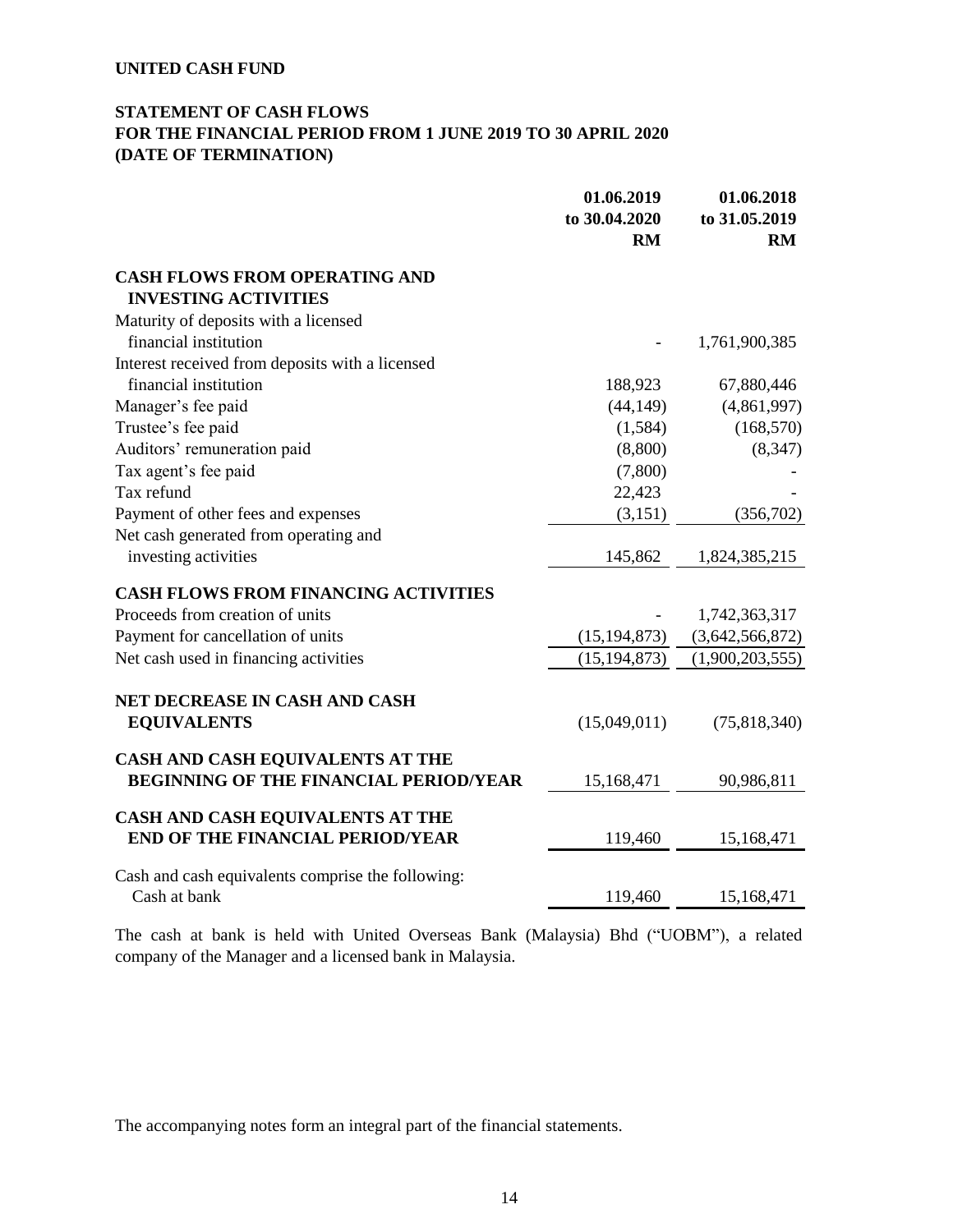## **STATEMENT OF CASH FLOWS FOR THE FINANCIAL PERIOD FROM 1 JUNE 2019 TO 30 APRIL 2020 (DATE OF TERMINATION)**

|                                                                                   | 01.06.2019<br>to 30.04.2020<br><b>RM</b> | 01.06.2018<br>to 31.05.2019<br>RM |
|-----------------------------------------------------------------------------------|------------------------------------------|-----------------------------------|
| <b>CASH FLOWS FROM OPERATING AND</b>                                              |                                          |                                   |
| <b>INVESTING ACTIVITIES</b>                                                       |                                          |                                   |
| Maturity of deposits with a licensed                                              |                                          |                                   |
| financial institution                                                             |                                          | 1,761,900,385                     |
| Interest received from deposits with a licensed                                   |                                          |                                   |
| financial institution                                                             | 188,923                                  | 67,880,446                        |
| Manager's fee paid                                                                | (44, 149)                                | (4,861,997)                       |
| Trustee's fee paid                                                                | (1,584)                                  | (168, 570)                        |
| Auditors' remuneration paid                                                       | (8,800)                                  | (8, 347)                          |
| Tax agent's fee paid                                                              | (7,800)                                  |                                   |
| Tax refund                                                                        | 22,423                                   |                                   |
| Payment of other fees and expenses                                                | (3,151)                                  | (356,702)                         |
| Net cash generated from operating and                                             |                                          |                                   |
| investing activities                                                              | 145,862                                  | 1,824,385,215                     |
| <b>CASH FLOWS FROM FINANCING ACTIVITIES</b>                                       |                                          |                                   |
| Proceeds from creation of units                                                   |                                          | 1,742,363,317                     |
| Payment for cancellation of units                                                 | (15, 194, 873)                           | (3,642,566,872)                   |
| Net cash used in financing activities                                             | (15, 194, 873)                           | (1,900,203,555)                   |
| NET DECREASE IN CASH AND CASH<br><b>EQUIVALENTS</b>                               | (15,049,011)                             | (75,818,340)                      |
|                                                                                   |                                          |                                   |
| CASH AND CASH EQUIVALENTS AT THE<br><b>BEGINNING OF THE FINANCIAL PERIOD/YEAR</b> |                                          |                                   |
|                                                                                   | 15,168,471                               | 90,986,811                        |
| CASH AND CASH EQUIVALENTS AT THE<br><b>END OF THE FINANCIAL PERIOD/YEAR</b>       | 119,460                                  | 15,168,471                        |
| Cash and cash equivalents comprise the following:<br>Cash at bank                 | 119,460                                  | 15,168,471                        |
|                                                                                   |                                          |                                   |

The cash at bank is held with United Overseas Bank (Malaysia) Bhd ("UOBM"), a related company of the Manager and a licensed bank in Malaysia.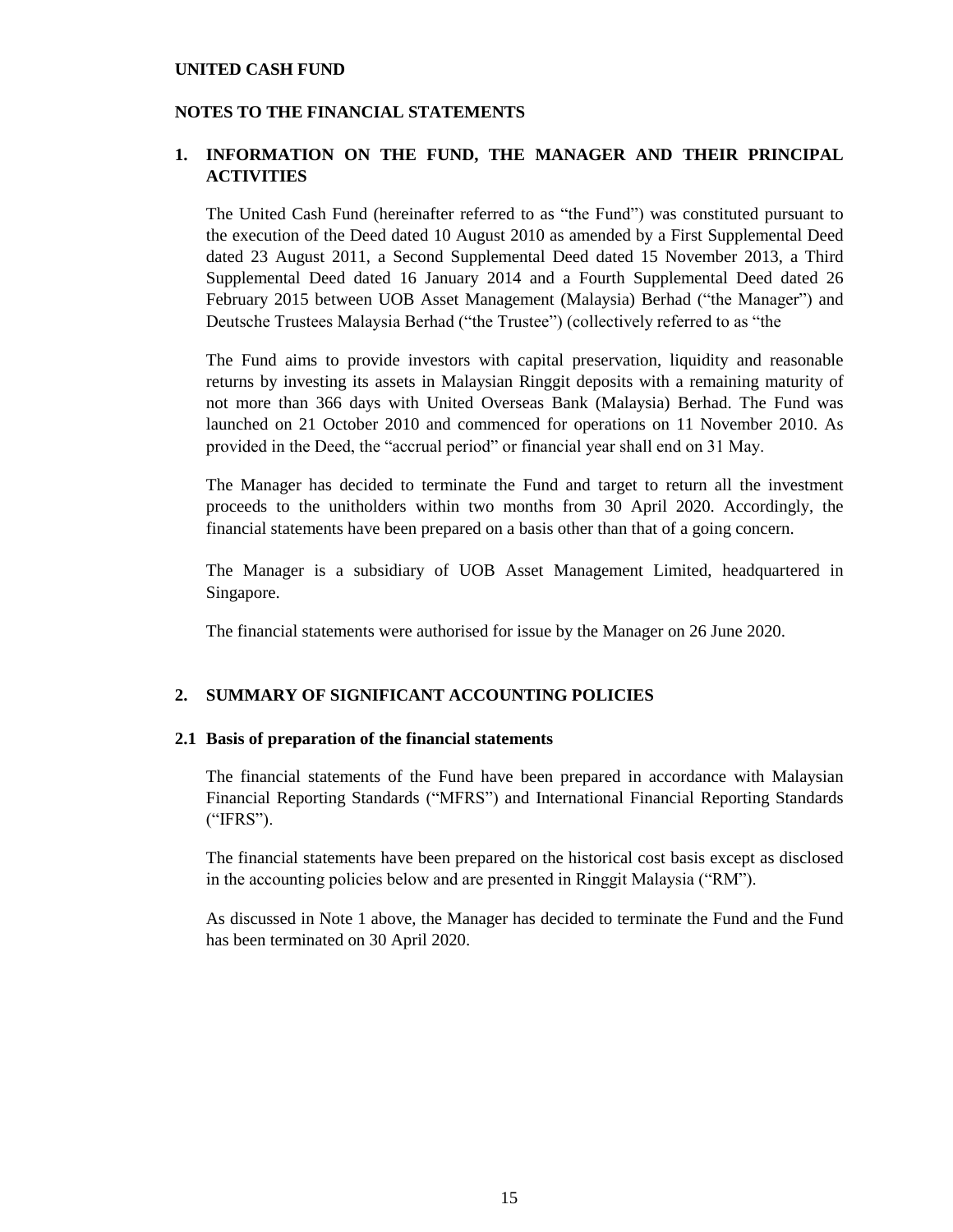### **NOTES TO THE FINANCIAL STATEMENTS**

## **1. INFORMATION ON THE FUND, THE MANAGER AND THEIR PRINCIPAL ACTIVITIES**

The United Cash Fund (hereinafter referred to as "the Fund") was constituted pursuant to the execution of the Deed dated 10 August 2010 as amended by a First Supplemental Deed dated 23 August 2011, a Second Supplemental Deed dated 15 November 2013, a Third Supplemental Deed dated 16 January 2014 and a Fourth Supplemental Deed dated 26 February 2015 between UOB Asset Management (Malaysia) Berhad ("the Manager") and Deutsche Trustees Malaysia Berhad ("the Trustee") (collectively referred to as "the

The Fund aims to provide investors with capital preservation, liquidity and reasonable returns by investing its assets in Malaysian Ringgit deposits with a remaining maturity of not more than 366 days with United Overseas Bank (Malaysia) Berhad. The Fund was launched on 21 October 2010 and commenced for operations on 11 November 2010. As provided in the Deed, the "accrual period" or financial year shall end on 31 May.

The Manager has decided to terminate the Fund and target to return all the investment proceeds to the unitholders within two months from 30 April 2020. Accordingly, the financial statements have been prepared on a basis other than that of a going concern.

The Manager is a subsidiary of UOB Asset Management Limited, headquartered in Singapore.

The financial statements were authorised for issue by the Manager on 26 June 2020.

## **2. SUMMARY OF SIGNIFICANT ACCOUNTING POLICIES**

#### **2.1 Basis of preparation of the financial statements**

The financial statements of the Fund have been prepared in accordance with Malaysian Financial Reporting Standards ("MFRS") and International Financial Reporting Standards ("IFRS").

The financial statements have been prepared on the historical cost basis except as disclosed in the accounting policies below and are presented in Ringgit Malaysia ("RM").

As discussed in Note 1 above, the Manager has decided to terminate the Fund and the Fund has been terminated on 30 April 2020.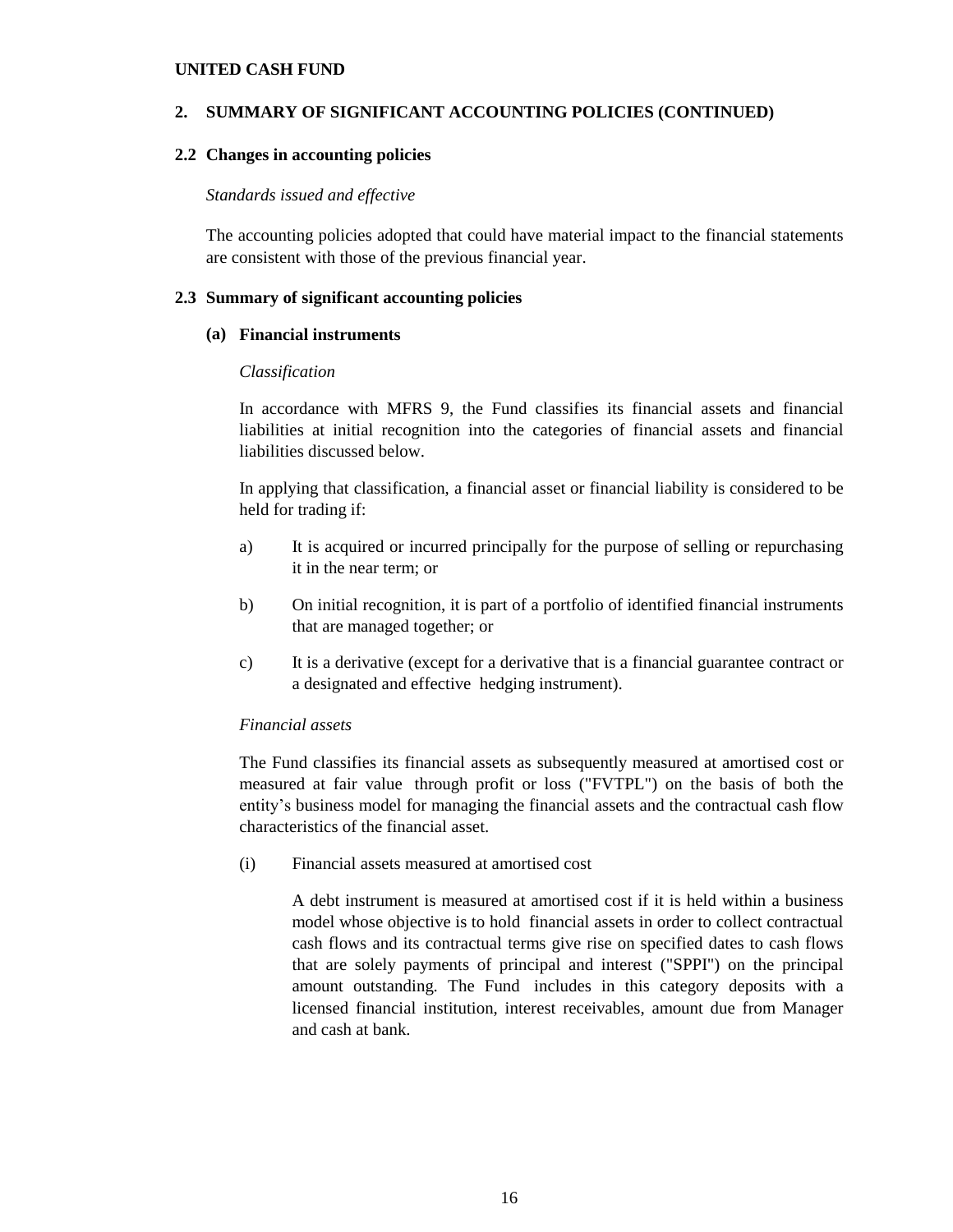## **2. SUMMARY OF SIGNIFICANT ACCOUNTING POLICIES (CONTINUED)**

### **2.2 Changes in accounting policies**

#### *Standards issued and effective*

The accounting policies adopted that could have material impact to the financial statements are consistent with those of the previous financial year.

### **2.3 Summary of significant accounting policies**

#### **(a) Financial instruments**

### *Classification*

In accordance with MFRS 9, the Fund classifies its financial assets and financial liabilities at initial recognition into the categories of financial assets and financial liabilities discussed below.

In applying that classification, a financial asset or financial liability is considered to be held for trading if:

- a) It is acquired or incurred principally for the purpose of selling or repurchasing it in the near term; or
- b) On initial recognition, it is part of a portfolio of identified financial instruments that are managed together; or
- c) It is a derivative (except for a derivative that is a financial guarantee contract or a designated and effective hedging instrument).

## *Financial assets*

The Fund classifies its financial assets as subsequently measured at amortised cost or measured at fair value through profit or loss ("FVTPL") on the basis of both the entity's business model for managing the financial assets and the contractual cash flow characteristics of the financial asset.

(i) Financial assets measured at amortised cost

A debt instrument is measured at amortised cost if it is held within a business model whose objective is to hold financial assets in order to collect contractual cash flows and its contractual terms give rise on specified dates to cash flows that are solely payments of principal and interest ("SPPI") on the principal amount outstanding. The Fund includes in this category deposits with a licensed financial institution, interest receivables, amount due from Manager and cash at bank.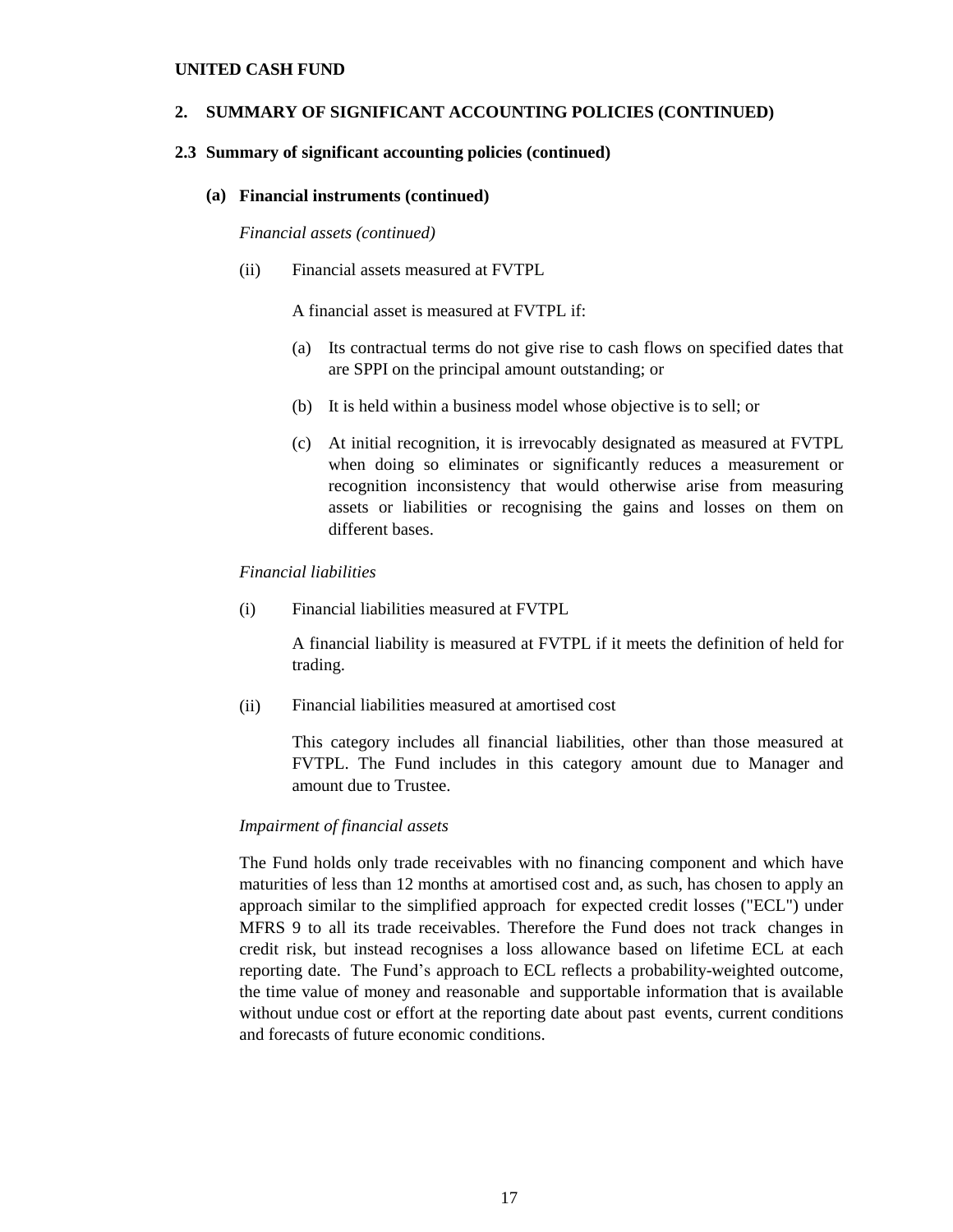### **2. SUMMARY OF SIGNIFICANT ACCOUNTING POLICIES (CONTINUED)**

#### **2.3 Summary of significant accounting policies (continued)**

#### **(a) Financial instruments (continued)**

*Financial assets (continued)*

(ii) Financial assets measured at FVTPL

A financial asset is measured at FVTPL if:

- (a) Its contractual terms do not give rise to cash flows on specified dates that are SPPI on the principal amount outstanding; or
- (b) It is held within a business model whose objective is to sell; or
- (c) At initial recognition, it is irrevocably designated as measured at FVTPL when doing so eliminates or significantly reduces a measurement or recognition inconsistency that would otherwise arise from measuring assets or liabilities or recognising the gains and losses on them on different bases.

#### *Financial liabilities*

(i) Financial liabilities measured at FVTPL

A financial liability is measured at FVTPL if it meets the definition of held for trading.

(ii) Financial liabilities measured at amortised cost

This category includes all financial liabilities, other than those measured at FVTPL. The Fund includes in this category amount due to Manager and amount due to Trustee.

#### *Impairment of financial assets*

The Fund holds only trade receivables with no financing component and which have maturities of less than 12 months at amortised cost and, as such, has chosen to apply an approach similar to the simplified approach for expected credit losses ("ECL") under MFRS 9 to all its trade receivables. Therefore the Fund does not track changes in credit risk, but instead recognises a loss allowance based on lifetime ECL at each reporting date. The Fund's approach to ECL reflects a probability-weighted outcome, the time value of money and reasonable and supportable information that is available without undue cost or effort at the reporting date about past events, current conditions and forecasts of future economic conditions.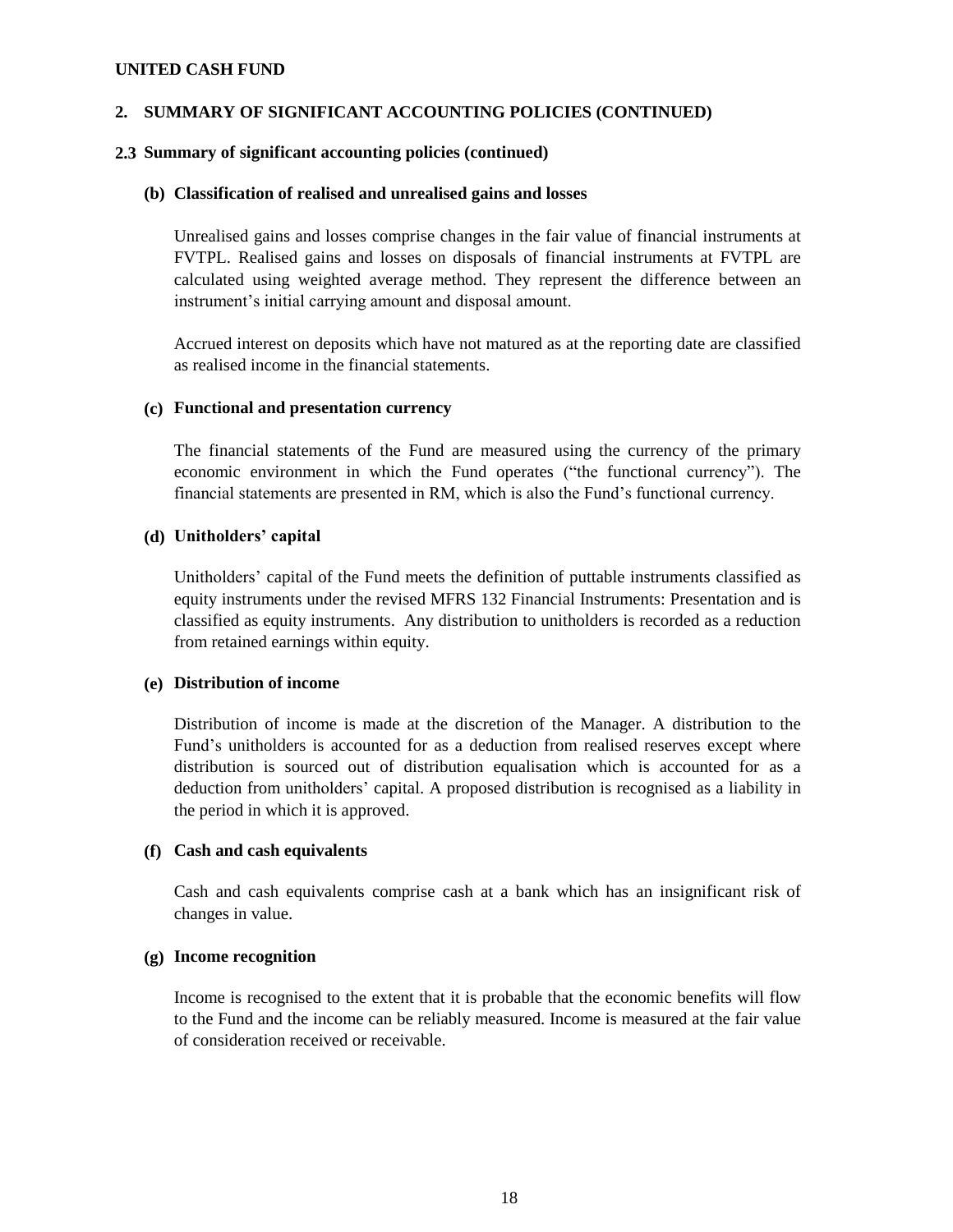#### **2. SUMMARY OF SIGNIFICANT ACCOUNTING POLICIES (CONTINUED)**

#### **2.3 Summary of significant accounting policies (continued)**

#### **(b) Classification of realised and unrealised gains and losses**

Unrealised gains and losses comprise changes in the fair value of financial instruments at FVTPL. Realised gains and losses on disposals of financial instruments at FVTPL are calculated using weighted average method. They represent the difference between an instrument's initial carrying amount and disposal amount.

Accrued interest on deposits which have not matured as at the reporting date are classified as realised income in the financial statements.

#### **(c) Functional and presentation currency**

The financial statements of the Fund are measured using the currency of the primary economic environment in which the Fund operates ("the functional currency"). The financial statements are presented in RM, which is also the Fund's functional currency.

#### **(d) Unitholders' capital**

Unitholders' capital of the Fund meets the definition of puttable instruments classified as equity instruments under the revised MFRS 132 Financial Instruments: Presentation and is classified as equity instruments. Any distribution to unitholders is recorded as a reduction from retained earnings within equity.

### **(e) Distribution of income**

Distribution of income is made at the discretion of the Manager. A distribution to the Fund's unitholders is accounted for as a deduction from realised reserves except where distribution is sourced out of distribution equalisation which is accounted for as a deduction from unitholders' capital. A proposed distribution is recognised as a liability in the period in which it is approved.

#### **(f) Cash and cash equivalents**

Cash and cash equivalents comprise cash at a bank which has an insignificant risk of changes in value.

#### **(g) Income recognition**

Income is recognised to the extent that it is probable that the economic benefits will flow to the Fund and the income can be reliably measured. Income is measured at the fair value of consideration received or receivable.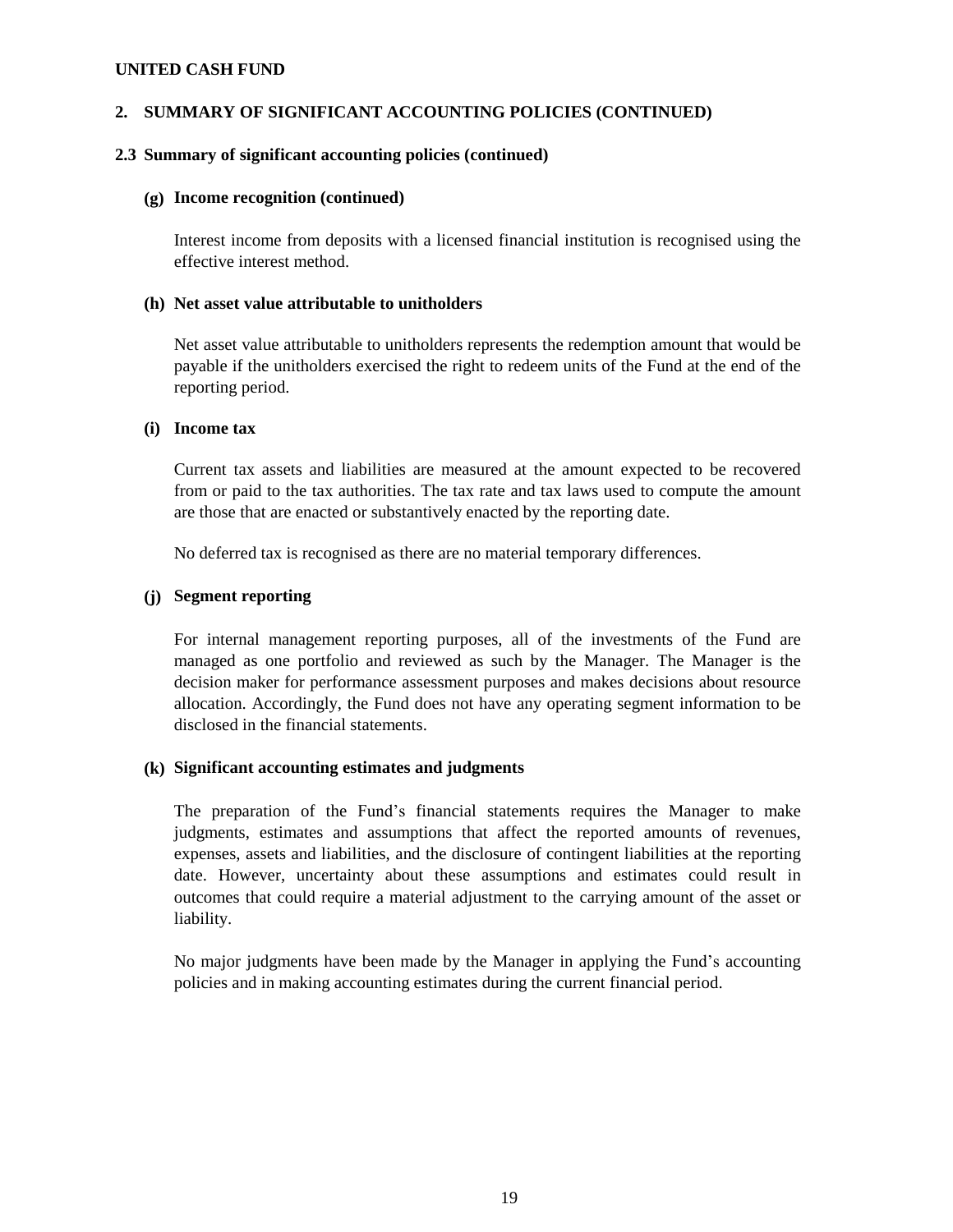## **2. SUMMARY OF SIGNIFICANT ACCOUNTING POLICIES (CONTINUED)**

### **2.3 Summary of significant accounting policies (continued)**

#### **(g) Income recognition (continued)**

Interest income from deposits with a licensed financial institution is recognised using the effective interest method.

#### **(h) Net asset value attributable to unitholders**

Net asset value attributable to unitholders represents the redemption amount that would be payable if the unitholders exercised the right to redeem units of the Fund at the end of the reporting period.

#### **(i) Income tax**

Current tax assets and liabilities are measured at the amount expected to be recovered from or paid to the tax authorities. The tax rate and tax laws used to compute the amount are those that are enacted or substantively enacted by the reporting date.

No deferred tax is recognised as there are no material temporary differences.

#### **(j) Segment reporting**

For internal management reporting purposes, all of the investments of the Fund are managed as one portfolio and reviewed as such by the Manager. The Manager is the decision maker for performance assessment purposes and makes decisions about resource allocation. Accordingly, the Fund does not have any operating segment information to be disclosed in the financial statements.

#### **(k) Significant accounting estimates and judgments**

The preparation of the Fund's financial statements requires the Manager to make judgments, estimates and assumptions that affect the reported amounts of revenues, expenses, assets and liabilities, and the disclosure of contingent liabilities at the reporting date. However, uncertainty about these assumptions and estimates could result in outcomes that could require a material adjustment to the carrying amount of the asset or liability.

No major judgments have been made by the Manager in applying the Fund's accounting policies and in making accounting estimates during the current financial period.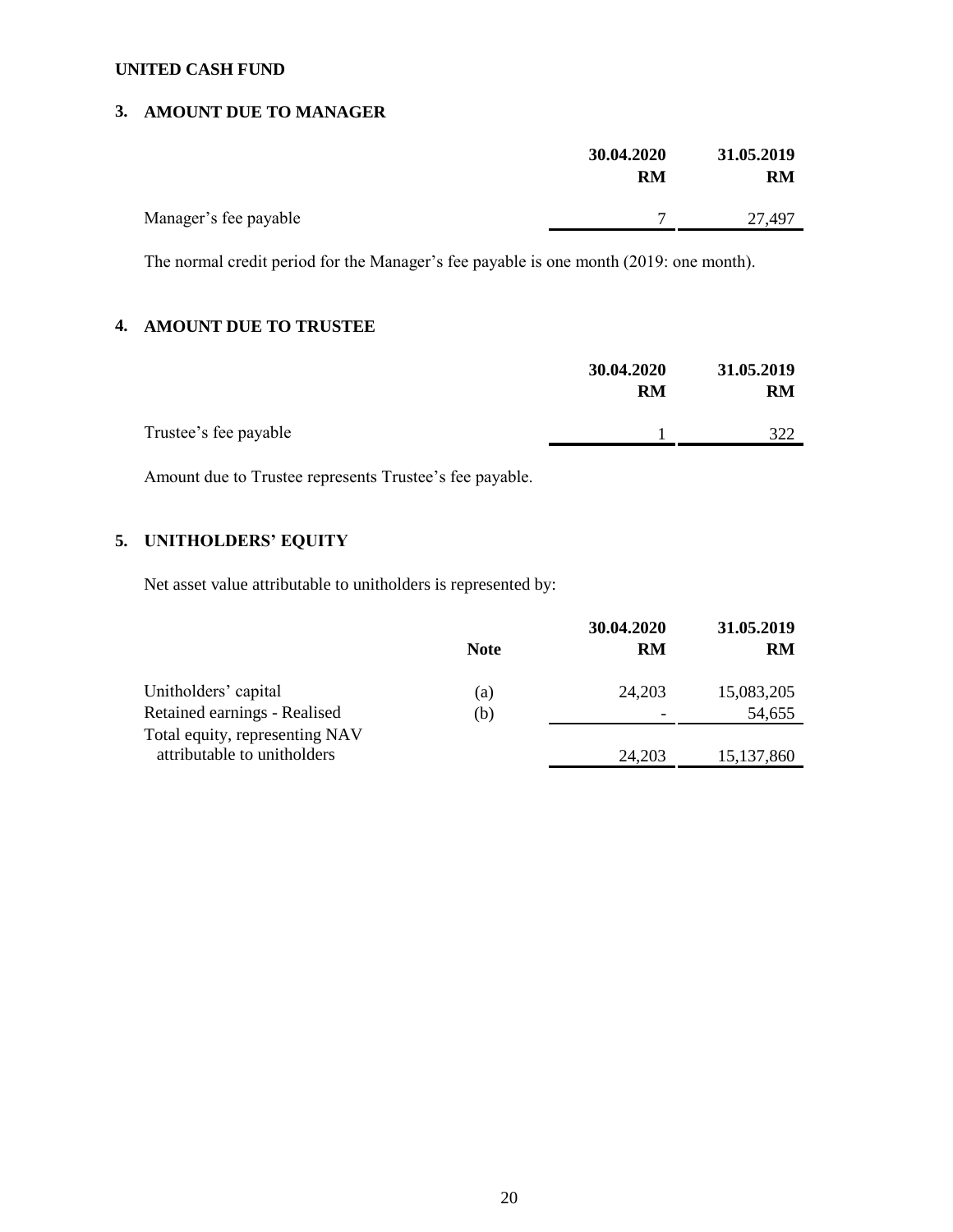# **3. AMOUNT DUE TO MANAGER**

|                       | 30.04.2020 | 31.05.2019 |
|-----------------------|------------|------------|
|                       | <b>RM</b>  | RM         |
| Manager's fee payable |            | 27,497     |

The normal credit period for the Manager's fee payable is one month (2019: one month).

## **4. AMOUNT DUE TO TRUSTEE**

|                       | 30.04.2020 | 31.05.2019 |
|-----------------------|------------|------------|
|                       | RM         | RM         |
| Trustee's fee payable |            | 322        |

Amount due to Trustee represents Trustee's fee payable.

# **5. UNITHOLDERS' EQUITY**

Net asset value attributable to unitholders is represented by:

|                                |             | 30.04.2020               | 31.05.2019   |
|--------------------------------|-------------|--------------------------|--------------|
|                                | <b>Note</b> | <b>RM</b>                | RM           |
| Unitholders' capital           | (a)         | 24,203                   | 15,083,205   |
| Retained earnings - Realised   | (b)         | $\overline{\phantom{a}}$ | 54,655       |
| Total equity, representing NAV |             |                          |              |
| attributable to unitholders    |             | 24,203                   | 15, 137, 860 |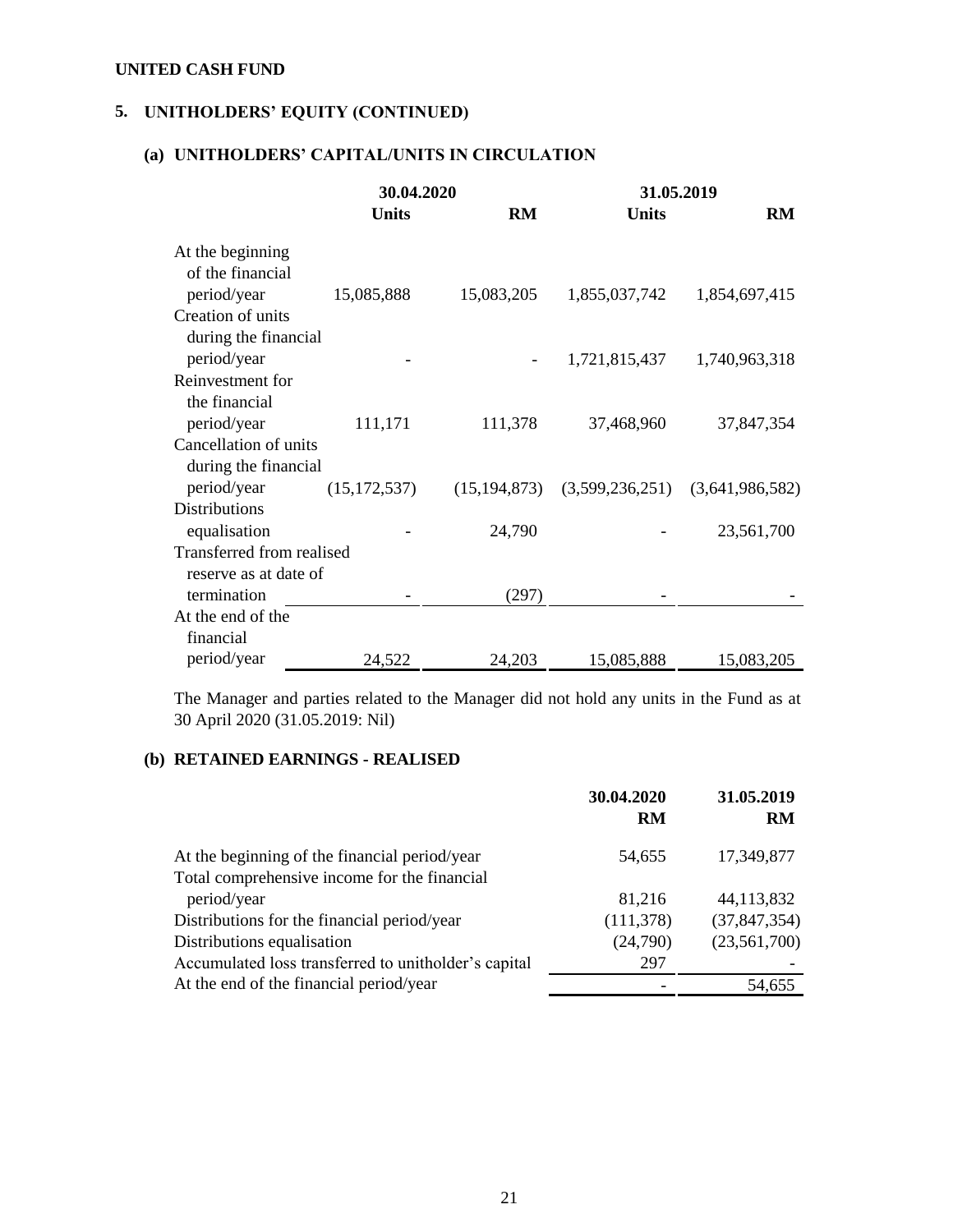# **5. UNITHOLDERS' EQUITY (CONTINUED)**

# **(a) UNITHOLDERS' CAPITAL/UNITS IN CIRCULATION**

|                                                    | 30.04.2020     |                | 31.05.2019    |                                     |
|----------------------------------------------------|----------------|----------------|---------------|-------------------------------------|
|                                                    | <b>Units</b>   | <b>RM</b>      | <b>Units</b>  | <b>RM</b>                           |
| At the beginning<br>of the financial               |                |                |               |                                     |
| period/year                                        | 15,085,888     | 15,083,205     | 1,855,037,742 | 1,854,697,415                       |
| Creation of units<br>during the financial          |                |                |               |                                     |
| period/year                                        |                |                | 1,721,815,437 | 1,740,963,318                       |
| Reinvestment for<br>the financial                  |                |                |               |                                     |
| period/year                                        | 111,171        | 111,378        | 37,468,960    | 37,847,354                          |
| Cancellation of units<br>during the financial      |                |                |               |                                     |
| period/year                                        | (15, 172, 537) | (15, 194, 873) |               | $(3,599,236,251)$ $(3,641,986,582)$ |
| <b>Distributions</b>                               |                |                |               |                                     |
| equalisation                                       |                | 24,790         |               | 23,561,700                          |
| Transferred from realised<br>reserve as at date of |                |                |               |                                     |
| termination                                        |                | (297)          |               |                                     |
| At the end of the                                  |                |                |               |                                     |
| financial                                          |                |                |               |                                     |
| period/year                                        | 24,522         | 24,203         | 15,085,888    | 15,083,205                          |

The Manager and parties related to the Manager did not hold any units in the Fund as at 30 April 2020 (31.05.2019: Nil)

# **(b) RETAINED EARNINGS - REALISED**

|                                                      | 30.04.2020<br><b>RM</b> | 31.05.2019<br><b>RM</b> |
|------------------------------------------------------|-------------------------|-------------------------|
| At the beginning of the financial period/year        | 54,655                  | 17,349,877              |
| Total comprehensive income for the financial         |                         |                         |
| period/year                                          | 81,216                  | 44,113,832              |
| Distributions for the financial period/year          | (111, 378)              | (37, 847, 354)          |
| Distributions equalisation                           | (24,790)                | (23,561,700)            |
| Accumulated loss transferred to unitholder's capital | 297                     |                         |
| At the end of the financial period/year              |                         | 54,655                  |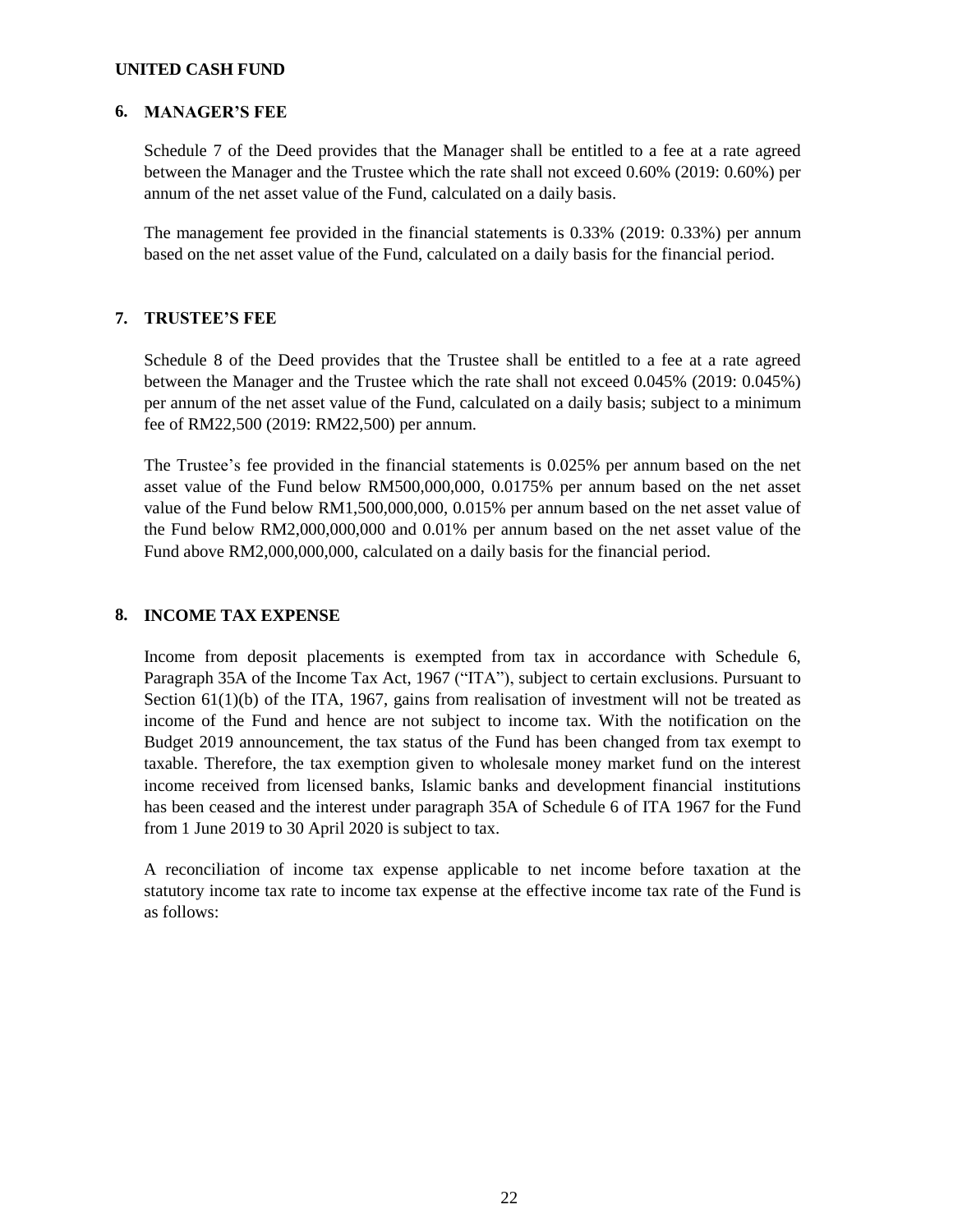## **6. MANAGER'S FEE**

Schedule 7 of the Deed provides that the Manager shall be entitled to a fee at a rate agreed between the Manager and the Trustee which the rate shall not exceed 0.60% (2019: 0.60%) per annum of the net asset value of the Fund, calculated on a daily basis.

The management fee provided in the financial statements is 0.33% (2019: 0.33%) per annum based on the net asset value of the Fund, calculated on a daily basis for the financial period.

## **7. TRUSTEE'S FEE**

Schedule 8 of the Deed provides that the Trustee shall be entitled to a fee at a rate agreed between the Manager and the Trustee which the rate shall not exceed 0.045% (2019: 0.045%) per annum of the net asset value of the Fund, calculated on a daily basis; subject to a minimum fee of RM22,500 (2019: RM22,500) per annum.

The Trustee's fee provided in the financial statements is 0.025% per annum based on the net asset value of the Fund below RM500,000,000, 0.0175% per annum based on the net asset value of the Fund below RM1,500,000,000, 0.015% per annum based on the net asset value of the Fund below RM2,000,000,000 and 0.01% per annum based on the net asset value of the Fund above RM2,000,000,000, calculated on a daily basis for the financial period.

### **8. INCOME TAX EXPENSE**

Income from deposit placements is exempted from tax in accordance with Schedule 6, Paragraph 35A of the Income Tax Act, 1967 ("ITA"), subject to certain exclusions. Pursuant to Section 61(1)(b) of the ITA, 1967, gains from realisation of investment will not be treated as income of the Fund and hence are not subject to income tax. With the notification on the Budget 2019 announcement, the tax status of the Fund has been changed from tax exempt to taxable. Therefore, the tax exemption given to wholesale money market fund on the interest income received from licensed banks, Islamic banks and development financial institutions has been ceased and the interest under paragraph 35A of Schedule 6 of ITA 1967 for the Fund from 1 June 2019 to 30 April 2020 is subject to tax.

A reconciliation of income tax expense applicable to net income before taxation at the statutory income tax rate to income tax expense at the effective income tax rate of the Fund is as follows: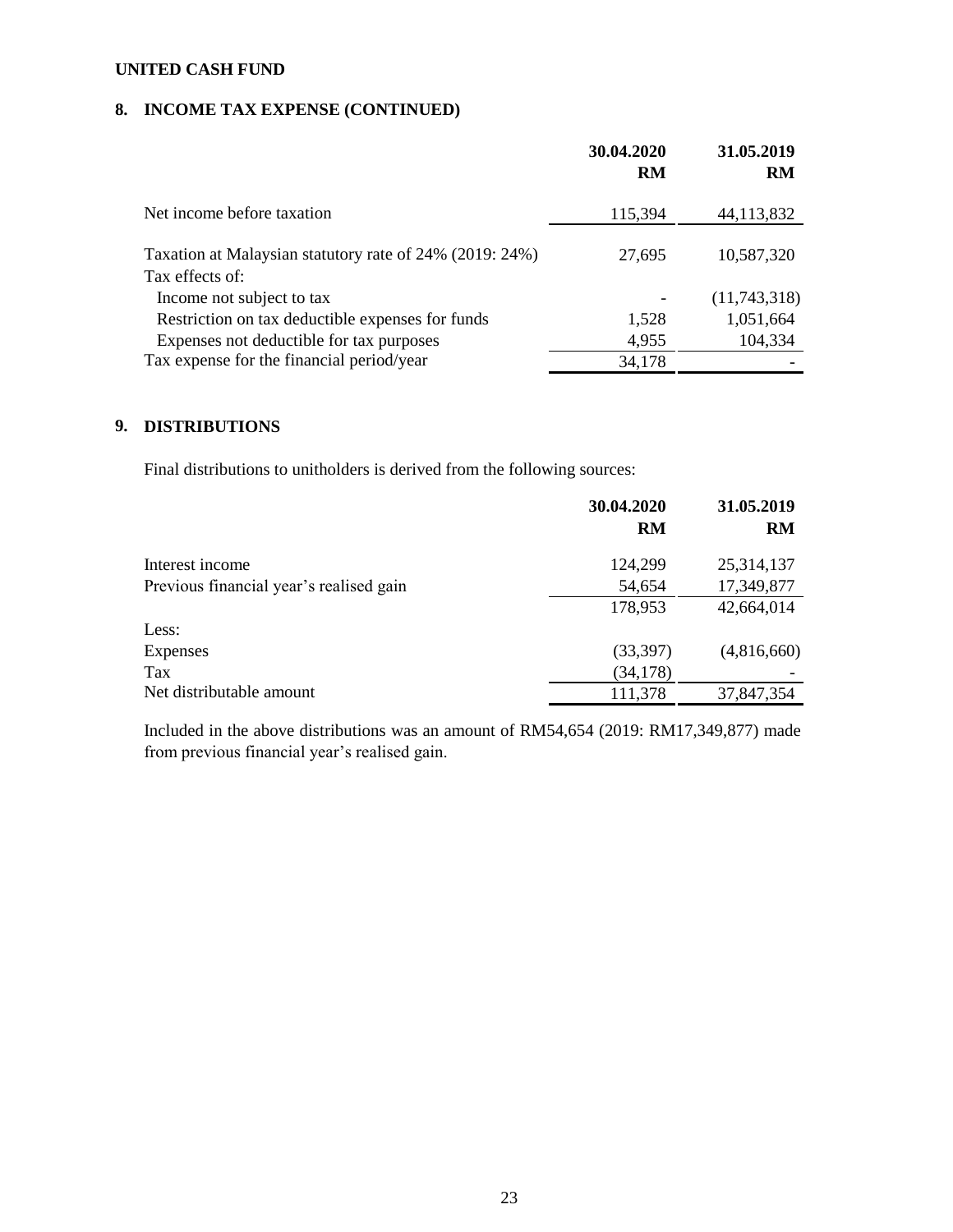# **8. INCOME TAX EXPENSE (CONTINUED)**

|                                                                            | 30.04.2020<br><b>RM</b> | 31.05.2019<br><b>RM</b> |
|----------------------------------------------------------------------------|-------------------------|-------------------------|
| Net income before taxation                                                 | 115,394                 | 44,113,832              |
| Taxation at Malaysian statutory rate of 24% (2019: 24%)<br>Tax effects of: | 27,695                  | 10,587,320              |
| Income not subject to tax                                                  |                         | (11,743,318)            |
| Restriction on tax deductible expenses for funds                           | 1,528                   | 1,051,664               |
| Expenses not deductible for tax purposes                                   | 4,955                   | 104,334                 |
| Tax expense for the financial period/year                                  | 34,178                  |                         |

## **9. DISTRIBUTIONS**

Final distributions to unitholders is derived from the following sources:

|                                         | 30.04.2020 | 31.05.2019  |
|-----------------------------------------|------------|-------------|
|                                         | <b>RM</b>  | <b>RM</b>   |
| Interest income                         | 124,299    | 25,314,137  |
| Previous financial year's realised gain | 54,654     | 17,349,877  |
|                                         | 178,953    | 42,664,014  |
| Less:                                   |            |             |
| Expenses                                | (33,397)   | (4,816,660) |
| Tax                                     | (34, 178)  |             |
| Net distributable amount                | 111,378    | 37,847,354  |

Included in the above distributions was an amount of RM54,654 (2019: RM17,349,877) made from previous financial year's realised gain.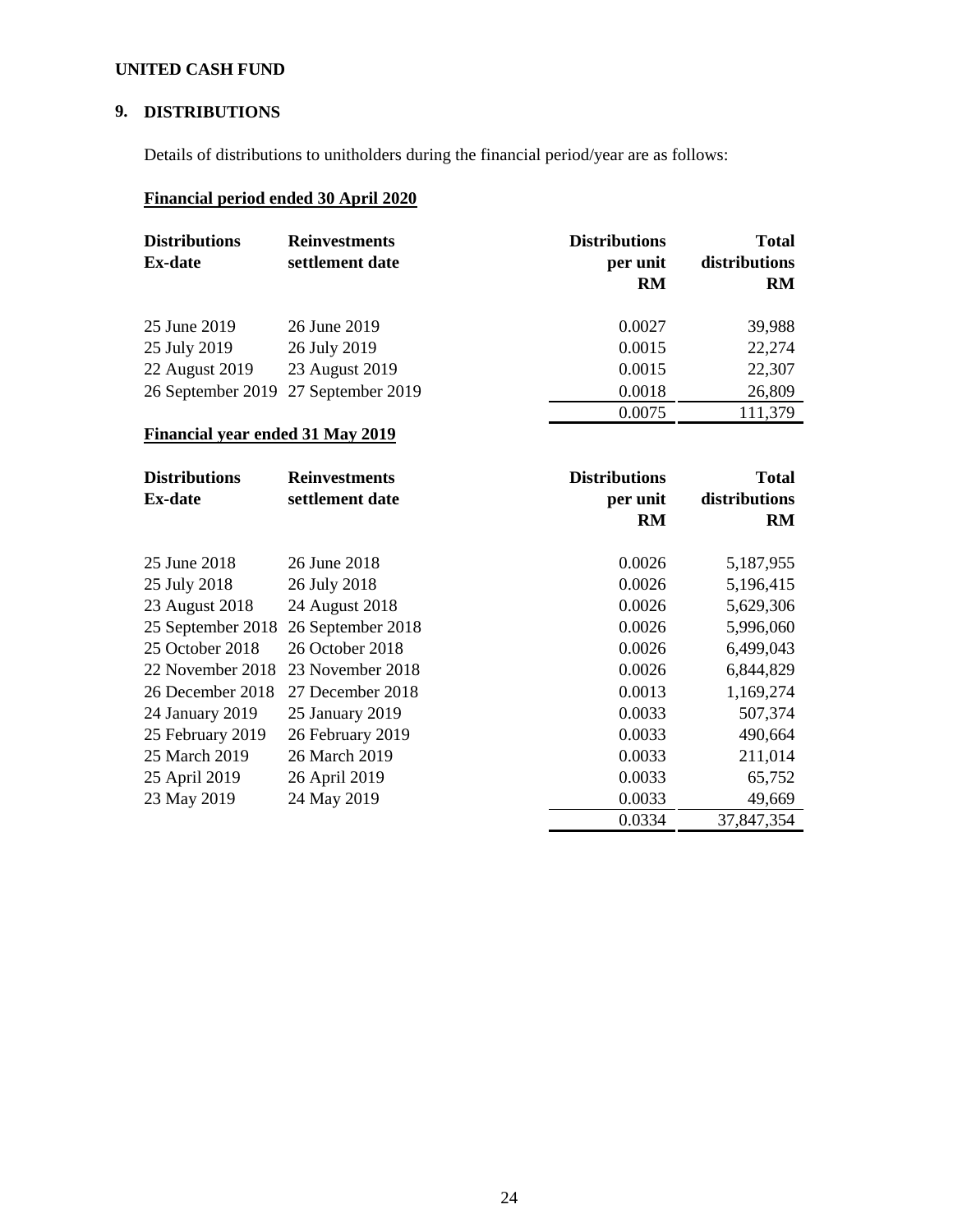# **9. DISTRIBUTIONS**

Details of distributions to unitholders during the financial period/year are as follows:

## **Financial period ended 30 April 2020**

| <b>Distributions</b><br><b>Ex-date</b> | <b>Reinvestments</b><br>settlement date | <b>Distributions</b><br>per unit<br><b>RM</b> | <b>Total</b><br>distributions<br><b>RM</b> |
|----------------------------------------|-----------------------------------------|-----------------------------------------------|--------------------------------------------|
| 25 June 2019                           | 26 June 2019                            | 0.0027                                        | 39,988                                     |
| 25 July 2019                           | 26 July 2019                            | 0.0015                                        | 22,274                                     |
| 22 August 2019                         | 23 August 2019                          | 0.0015                                        | 22,307                                     |
|                                        | 26 September 2019 27 September 2019     | 0.0018                                        | 26,809                                     |
|                                        |                                         | 0.0075                                        | 111,379                                    |

## **Financial year ended 31 May 2019**

| <b>Distributions</b> | <b>Reinvestments</b> | <b>Distributions</b> | <b>Total</b>  |
|----------------------|----------------------|----------------------|---------------|
| <b>Ex-date</b>       | settlement date      | per unit             | distributions |
|                      |                      | <b>RM</b>            | <b>RM</b>     |
| 25 June 2018         | 26 June 2018         | 0.0026               | 5,187,955     |
| 25 July 2018         | 26 July 2018         | 0.0026               | 5,196,415     |
| 23 August 2018       | 24 August 2018       | 0.0026               | 5,629,306     |
| 25 September 2018    | 26 September 2018    | 0.0026               | 5,996,060     |
| 25 October 2018      | 26 October 2018      | 0.0026               | 6,499,043     |
| 22 November 2018     | 23 November 2018     | 0.0026               | 6,844,829     |
| 26 December 2018     | 27 December 2018     | 0.0013               | 1,169,274     |
| 24 January 2019      | 25 January 2019      | 0.0033               | 507,374       |
| 25 February 2019     | 26 February 2019     | 0.0033               | 490,664       |
| 25 March 2019        | 26 March 2019        | 0.0033               | 211,014       |
| 25 April 2019        | 26 April 2019        | 0.0033               | 65,752        |
| 23 May 2019          | 24 May 2019          | 0.0033               | 49,669        |
|                      |                      | 0.0334               | 37,847,354    |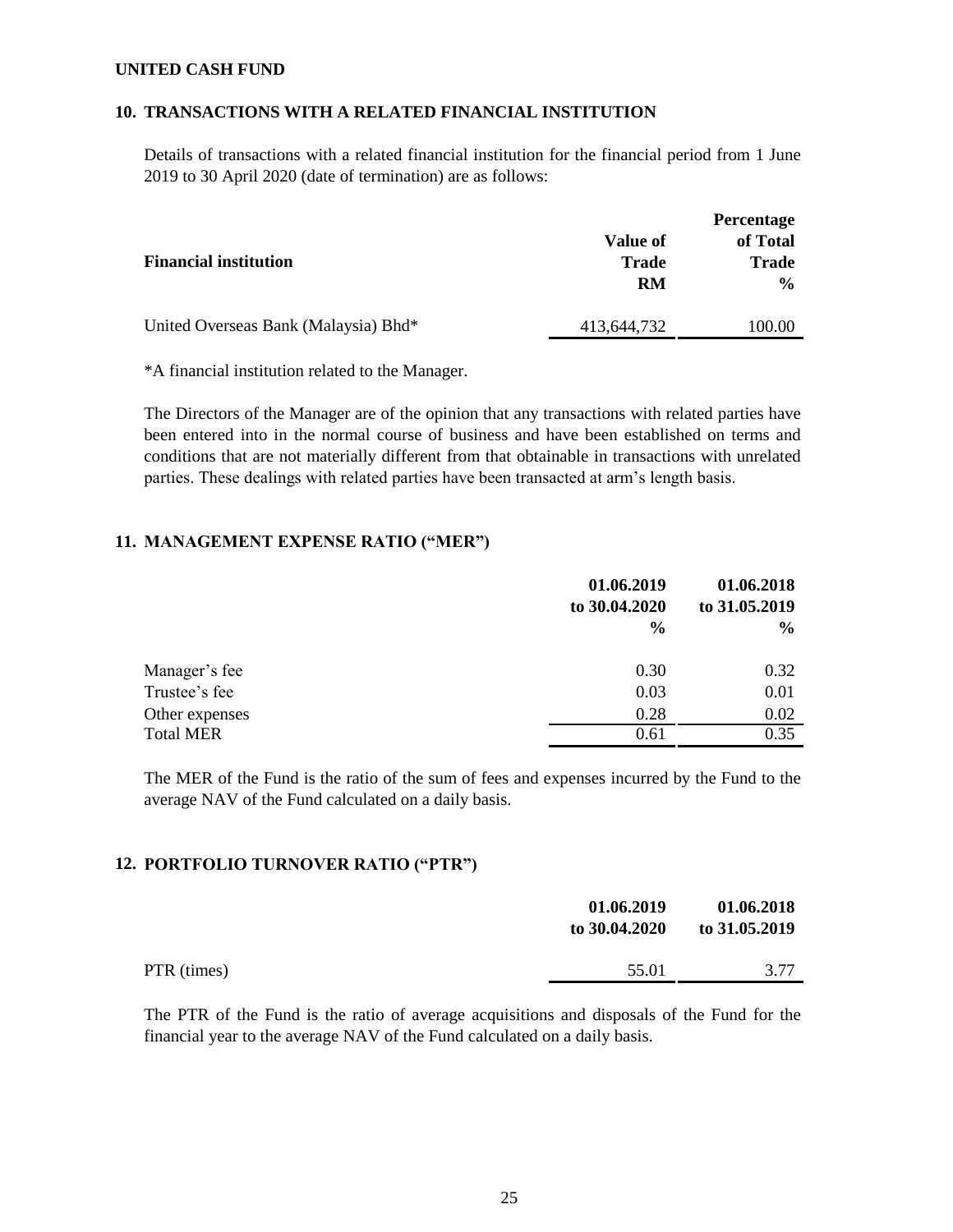### **10. TRANSACTIONS WITH A RELATED FINANCIAL INSTITUTION**

Details of transactions with a related financial institution for the financial period from 1 June 2019 to 30 April 2020 (date of termination) are as follows:

|                                      |                 | <b>Percentage</b> |
|--------------------------------------|-----------------|-------------------|
|                                      | <b>Value of</b> | of Total          |
| <b>Financial institution</b>         | <b>Trade</b>    | <b>Trade</b>      |
|                                      | <b>RM</b>       | $\frac{1}{2}$     |
| United Overseas Bank (Malaysia) Bhd* | 413,644,732     | 100.00            |

\*A financial institution related to the Manager.

The Directors of the Manager are of the opinion that any transactions with related parties have been entered into in the normal course of business and have been established on terms and conditions that are not materially different from that obtainable in transactions with unrelated parties. These dealings with related parties have been transacted at arm's length basis.

## **11. MANAGEMENT EXPENSE RATIO ("MER")**

|                  | 01.06.2019<br>to 30.04.2020<br>$\frac{6}{9}$ | 01.06.2018<br>to 31.05.2019<br>$\frac{6}{9}$ |
|------------------|----------------------------------------------|----------------------------------------------|
|                  |                                              |                                              |
|                  |                                              |                                              |
| Manager's fee    | 0.30                                         | 0.32                                         |
| Trustee's fee    | 0.03                                         | 0.01                                         |
| Other expenses   | 0.28                                         | 0.02                                         |
| <b>Total MER</b> | 0.61                                         | 0.35                                         |

The MER of the Fund is the ratio of the sum of fees and expenses incurred by the Fund to the average NAV of the Fund calculated on a daily basis.

### **12. PORTFOLIO TURNOVER RATIO ("PTR")**

|             | 01.06.2019<br>to 30.04.2020 | 01.06.2018<br>to 31.05.2019 |
|-------------|-----------------------------|-----------------------------|
| PTR (times) | 55.01                       | 3.77                        |

The PTR of the Fund is the ratio of average acquisitions and disposals of the Fund for the financial year to the average NAV of the Fund calculated on a daily basis.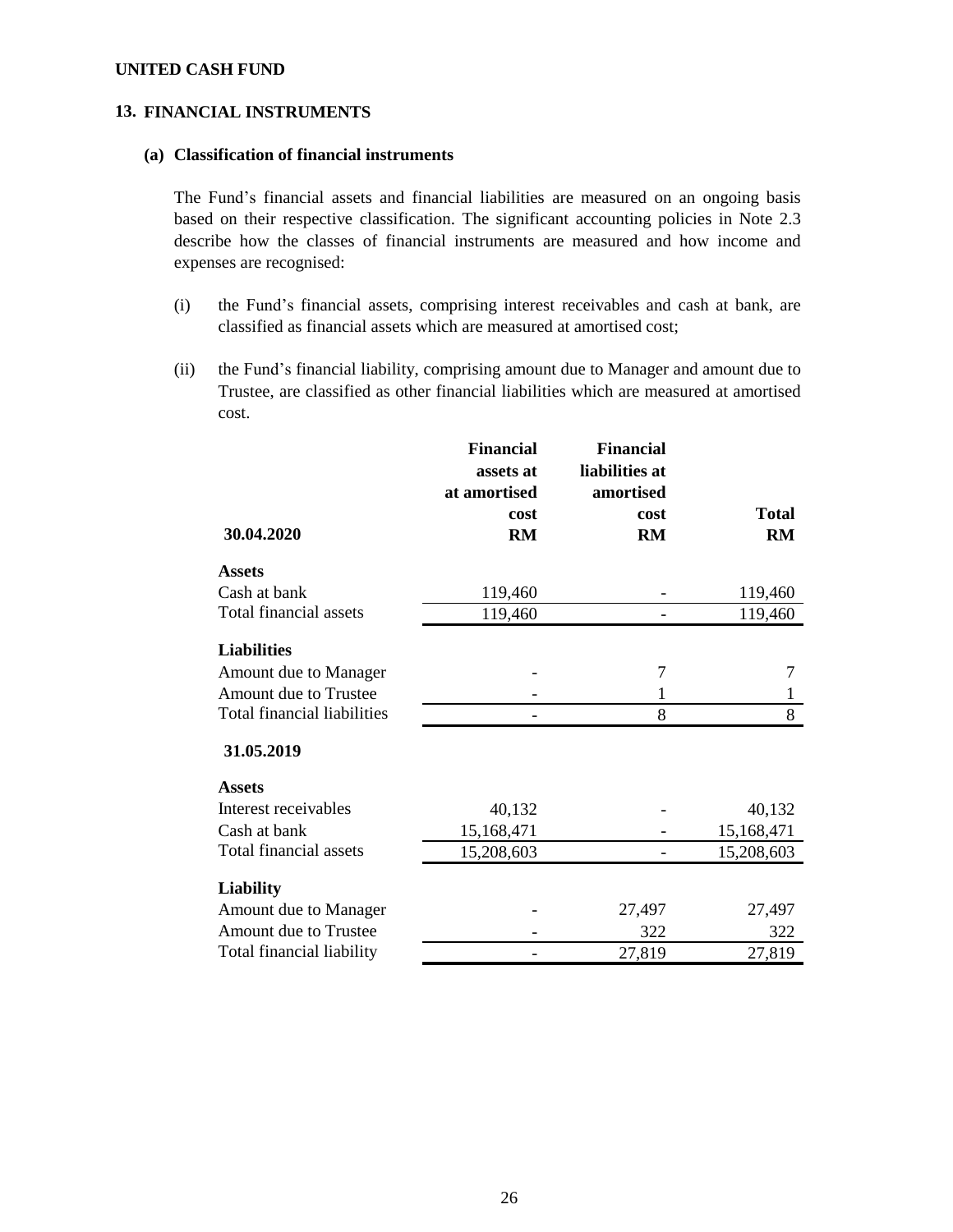## **13. FINANCIAL INSTRUMENTS**

## **(a) Classification of financial instruments**

The Fund's financial assets and financial liabilities are measured on an ongoing basis based on their respective classification. The significant accounting policies in Note 2.3 describe how the classes of financial instruments are measured and how income and expenses are recognised:

- (i) the Fund's financial assets, comprising interest receivables and cash at bank, are classified as financial assets which are measured at amortised cost;
- (ii) the Fund's financial liability, comprising amount due to Manager and amount due to Trustee, are classified as other financial liabilities which are measured at amortised cost.

|                                    | <b>Financial</b><br>assets at<br>at amortised | <b>Financial</b><br>liabilities at<br>amortised |              |
|------------------------------------|-----------------------------------------------|-------------------------------------------------|--------------|
|                                    | cost                                          | cost                                            | <b>Total</b> |
| 30.04.2020                         | RM                                            | <b>RM</b>                                       | <b>RM</b>    |
| <b>Assets</b>                      |                                               |                                                 |              |
| Cash at bank                       | 119,460                                       |                                                 | 119,460      |
| <b>Total financial assets</b>      | 119,460                                       |                                                 | 119,460      |
| <b>Liabilities</b>                 |                                               |                                                 |              |
| Amount due to Manager              |                                               | 7                                               |              |
| Amount due to Trustee              |                                               | 1                                               |              |
| <b>Total financial liabilities</b> |                                               | 8                                               | 8            |
| 31.05.2019                         |                                               |                                                 |              |
| <b>Assets</b>                      |                                               |                                                 |              |
| Interest receivables               | 40,132                                        |                                                 | 40,132       |
| Cash at bank                       | 15,168,471                                    |                                                 | 15,168,471   |
| <b>Total financial assets</b>      | 15,208,603                                    |                                                 | 15,208,603   |
| <b>Liability</b>                   |                                               |                                                 |              |
| Amount due to Manager              |                                               | 27,497                                          | 27,497       |
| Amount due to Trustee              |                                               | 322                                             | 322          |
| Total financial liability          |                                               | 27,819                                          | 27,819       |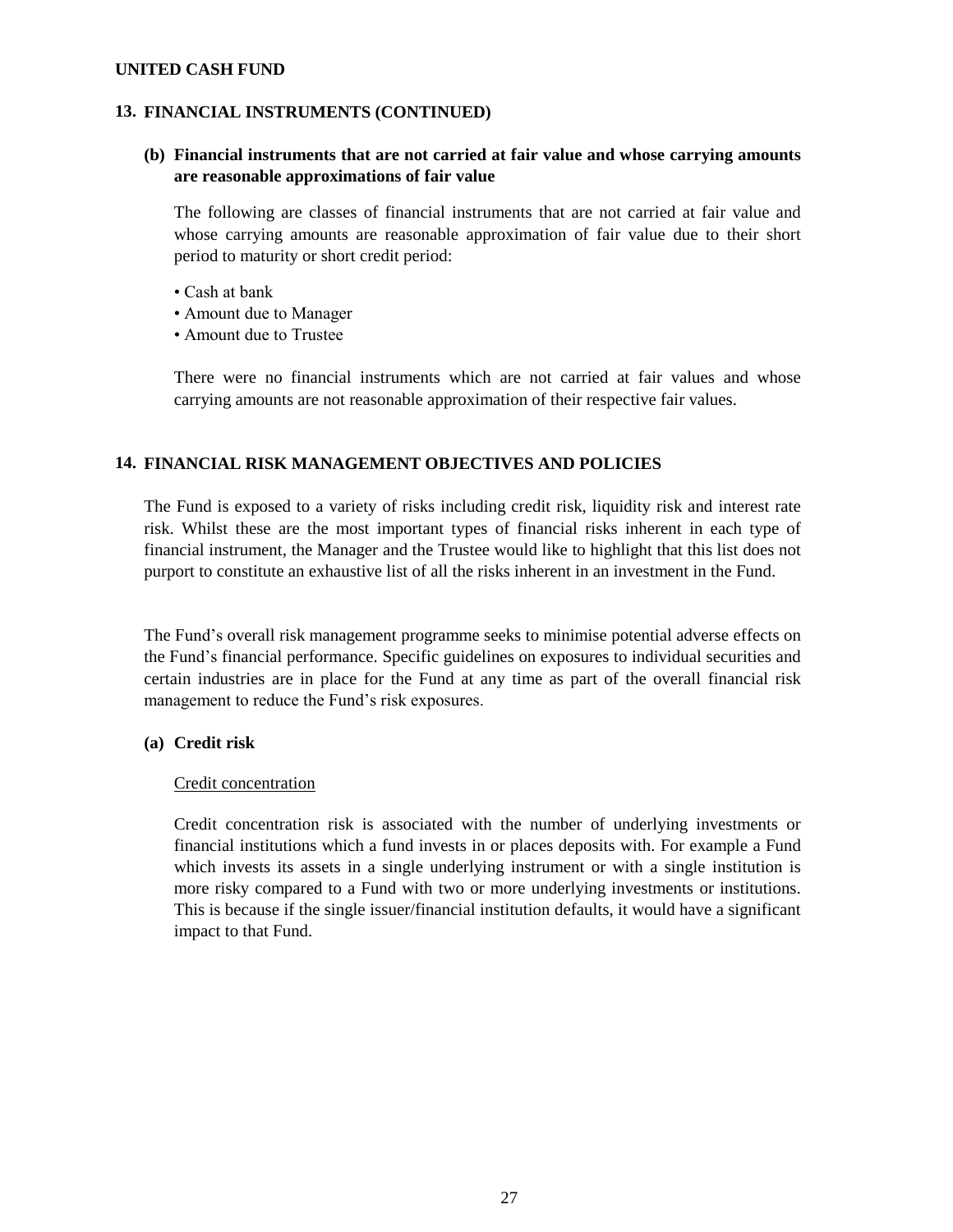## **13. FINANCIAL INSTRUMENTS (CONTINUED)**

## **(b) Financial instruments that are not carried at fair value and whose carrying amounts are reasonable approximations of fair value**

The following are classes of financial instruments that are not carried at fair value and whose carrying amounts are reasonable approximation of fair value due to their short period to maturity or short credit period:

- Cash at bank
- Amount due to Manager
- Amount due to Trustee

There were no financial instruments which are not carried at fair values and whose carrying amounts are not reasonable approximation of their respective fair values.

## **14. FINANCIAL RISK MANAGEMENT OBJECTIVES AND POLICIES**

The Fund is exposed to a variety of risks including credit risk, liquidity risk and interest rate risk. Whilst these are the most important types of financial risks inherent in each type of financial instrument, the Manager and the Trustee would like to highlight that this list does not purport to constitute an exhaustive list of all the risks inherent in an investment in the Fund.

The Fund's overall risk management programme seeks to minimise potential adverse effects on the Fund's financial performance. Specific guidelines on exposures to individual securities and certain industries are in place for the Fund at any time as part of the overall financial risk management to reduce the Fund's risk exposures.

## **(a) Credit risk**

## Credit concentration

Credit concentration risk is associated with the number of underlying investments or financial institutions which a fund invests in or places deposits with. For example a Fund which invests its assets in a single underlying instrument or with a single institution is more risky compared to a Fund with two or more underlying investments or institutions. This is because if the single issuer/financial institution defaults, it would have a significant impact to that Fund.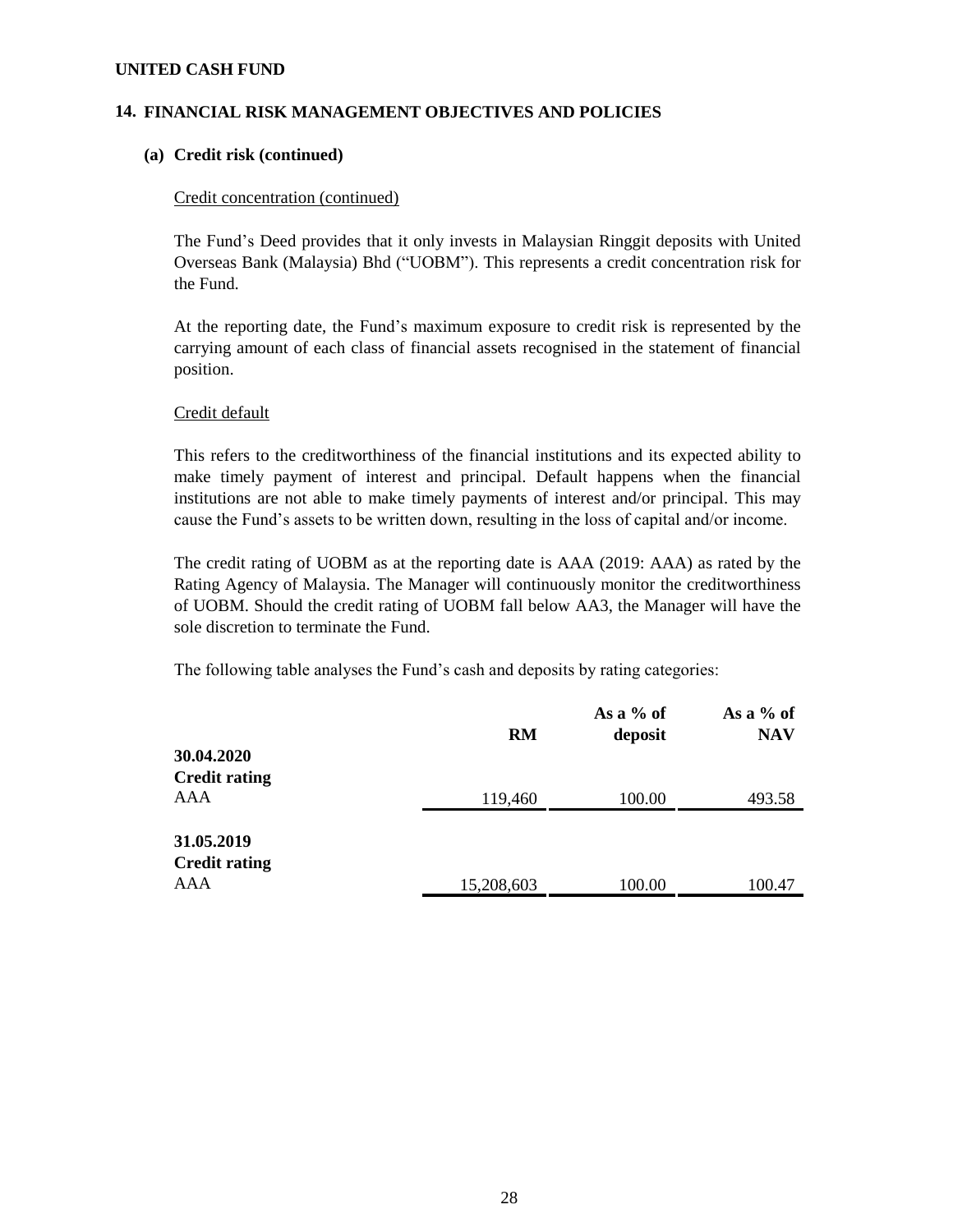### **14. FINANCIAL RISK MANAGEMENT OBJECTIVES AND POLICIES**

### **(a) Credit risk (continued)**

#### Credit concentration (continued)

The Fund's Deed provides that it only invests in Malaysian Ringgit deposits with United Overseas Bank (Malaysia) Bhd ("UOBM"). This represents a credit concentration risk for the Fund.

At the reporting date, the Fund's maximum exposure to credit risk is represented by the carrying amount of each class of financial assets recognised in the statement of financial position.

#### Credit default

This refers to the creditworthiness of the financial institutions and its expected ability to make timely payment of interest and principal. Default happens when the financial institutions are not able to make timely payments of interest and/or principal. This may cause the Fund's assets to be written down, resulting in the loss of capital and/or income.

The credit rating of UOBM as at the reporting date is AAA (2019: AAA) as rated by the Rating Agency of Malaysia. The Manager will continuously monitor the creditworthiness of UOBM. Should the credit rating of UOBM fall below AA3, the Manager will have the sole discretion to terminate the Fund.

The following table analyses the Fund's cash and deposits by rating categories:

|                      |            | As a $%$ of | As a $%$ of |
|----------------------|------------|-------------|-------------|
|                      | <b>RM</b>  | deposit     | <b>NAV</b>  |
| 30.04.2020           |            |             |             |
| <b>Credit rating</b> |            |             |             |
| <b>AAA</b>           | 119,460    | 100.00      | 493.58      |
| 31.05.2019           |            |             |             |
| <b>Credit rating</b> |            |             |             |
| AAA                  | 15,208,603 | 100.00      | 100.47      |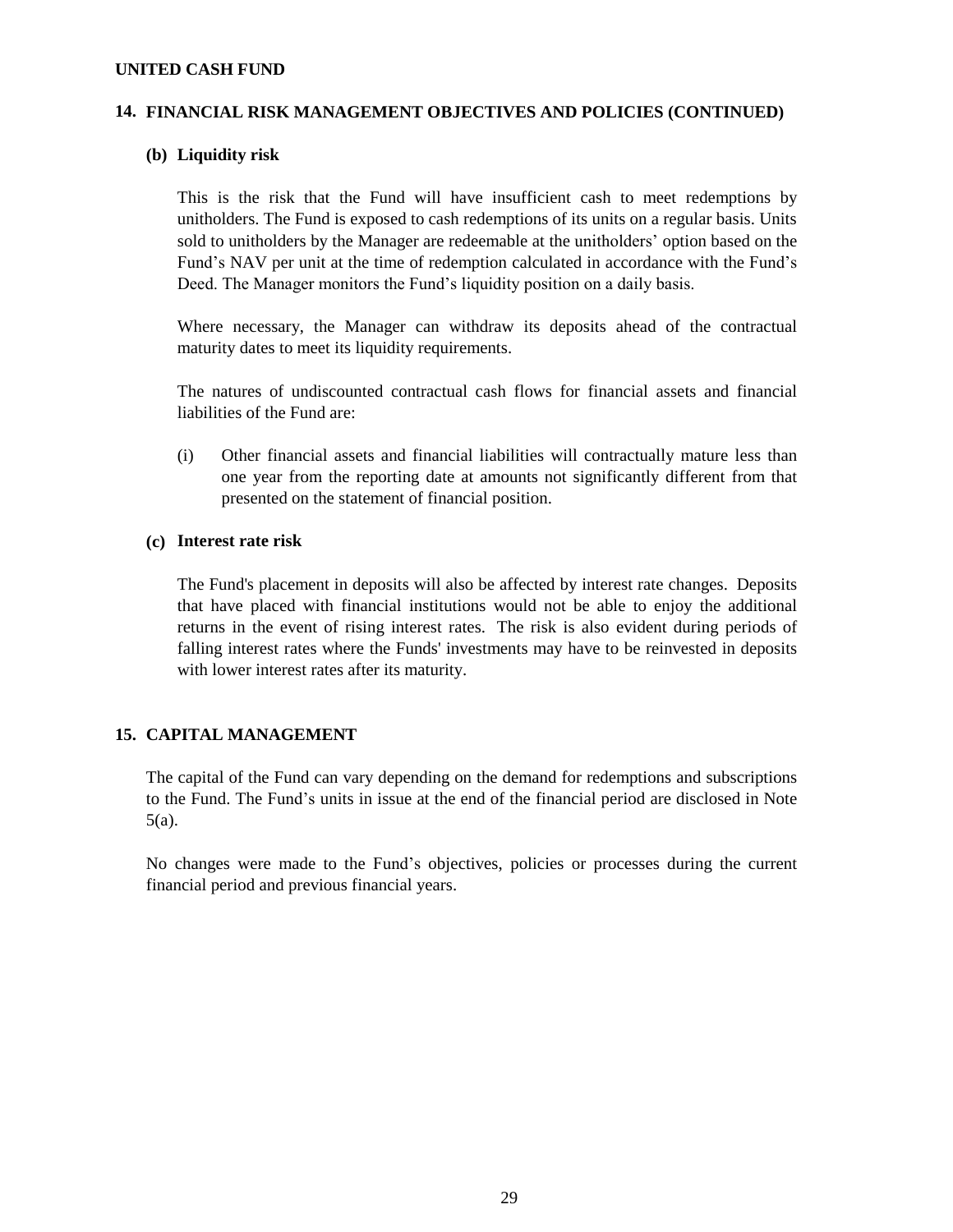### **14. FINANCIAL RISK MANAGEMENT OBJECTIVES AND POLICIES (CONTINUED)**

### **(b) Liquidity risk**

This is the risk that the Fund will have insufficient cash to meet redemptions by unitholders. The Fund is exposed to cash redemptions of its units on a regular basis. Units sold to unitholders by the Manager are redeemable at the unitholders' option based on the Fund's NAV per unit at the time of redemption calculated in accordance with the Fund's Deed. The Manager monitors the Fund's liquidity position on a daily basis.

Where necessary, the Manager can withdraw its deposits ahead of the contractual maturity dates to meet its liquidity requirements.

The natures of undiscounted contractual cash flows for financial assets and financial liabilities of the Fund are:

(i) Other financial assets and financial liabilities will contractually mature less than one year from the reporting date at amounts not significantly different from that presented on the statement of financial position.

#### **(c) Interest rate risk**

The Fund's placement in deposits will also be affected by interest rate changes. Deposits that have placed with financial institutions would not be able to enjoy the additional returns in the event of rising interest rates. The risk is also evident during periods of falling interest rates where the Funds' investments may have to be reinvested in deposits with lower interest rates after its maturity.

## **15. CAPITAL MANAGEMENT**

The capital of the Fund can vary depending on the demand for redemptions and subscriptions to the Fund. The Fund's units in issue at the end of the financial period are disclosed in Note 5(a).

No changes were made to the Fund's objectives, policies or processes during the current financial period and previous financial years.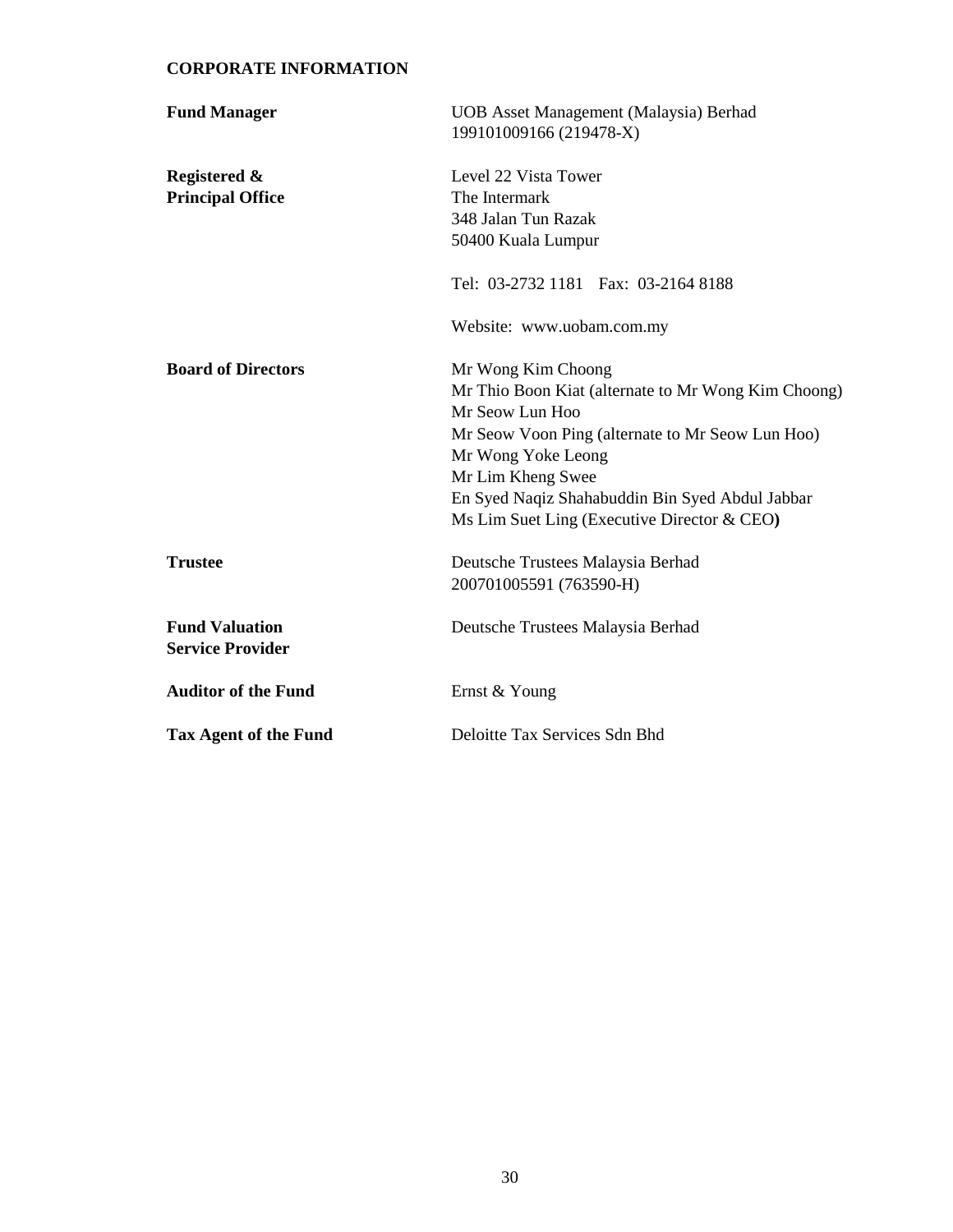# **CORPORATE INFORMATION**

| <b>Fund Manager</b>          | <b>UOB</b> Asset Management (Malaysia) Berhad<br>199101009166 (219478-X) |  |
|------------------------------|--------------------------------------------------------------------------|--|
| <b>Registered &amp;</b>      | Level 22 Vista Tower                                                     |  |
| <b>Principal Office</b>      | The Intermark                                                            |  |
|                              | 348 Jalan Tun Razak                                                      |  |
|                              | 50400 Kuala Lumpur                                                       |  |
|                              | Tel: 03-2732 1181  Fax: 03-2164 8188                                     |  |
|                              | Website: www.uobam.com.my                                                |  |
| <b>Board of Directors</b>    | Mr Wong Kim Choong                                                       |  |
|                              | Mr Thio Boon Kiat (alternate to Mr Wong Kim Choong)                      |  |
|                              | Mr Seow Lun Hoo                                                          |  |
|                              | Mr Seow Voon Ping (alternate to Mr Seow Lun Hoo)                         |  |
|                              | Mr Wong Yoke Leong                                                       |  |
|                              | Mr Lim Kheng Swee                                                        |  |
|                              | En Syed Naqiz Shahabuddin Bin Syed Abdul Jabbar                          |  |
|                              | Ms Lim Suet Ling (Executive Director & CEO)                              |  |
| <b>Trustee</b>               | Deutsche Trustees Malaysia Berhad                                        |  |
|                              | 200701005591 (763590-H)                                                  |  |
| <b>Fund Valuation</b>        | Deutsche Trustees Malaysia Berhad                                        |  |
| <b>Service Provider</b>      |                                                                          |  |
| <b>Auditor of the Fund</b>   | Ernst & Young                                                            |  |
| <b>Tax Agent of the Fund</b> | Deloitte Tax Services Sdn Bhd                                            |  |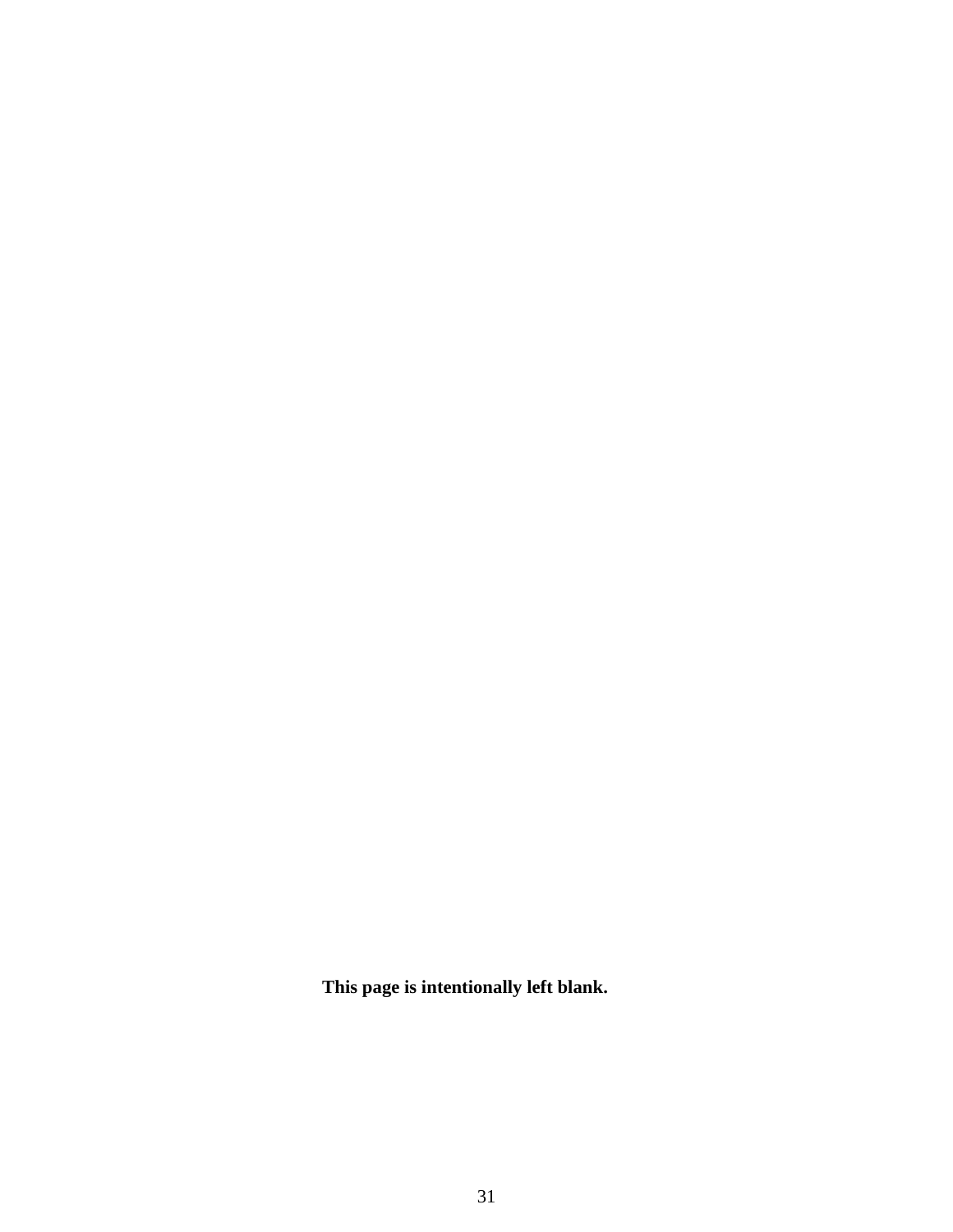**This page is intentionally left blank.**